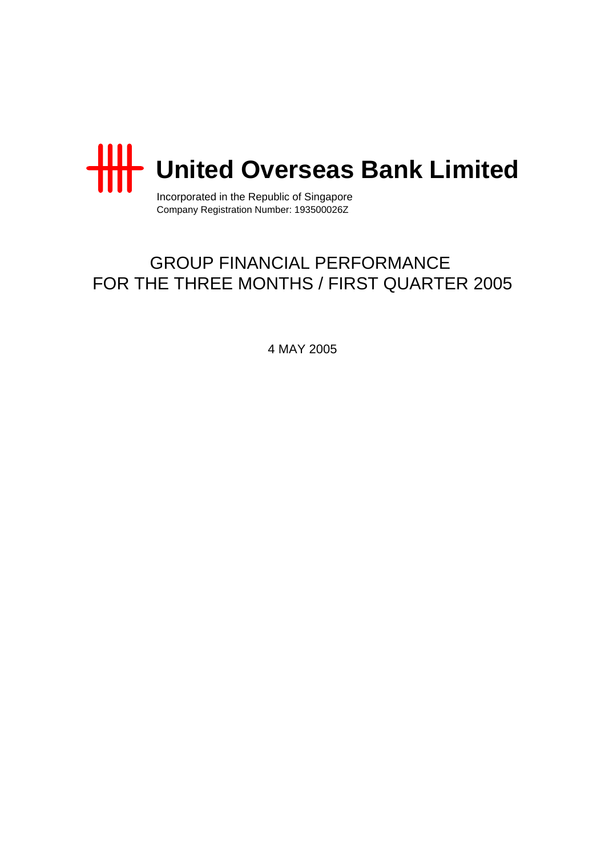

Incorporated in the Republic of Singapore Company Registration Number: 193500026Z

# GROUP FINANCIAL PERFORMANCE FOR THE THREE MONTHS / FIRST QUARTER 2005

4 MAY 2005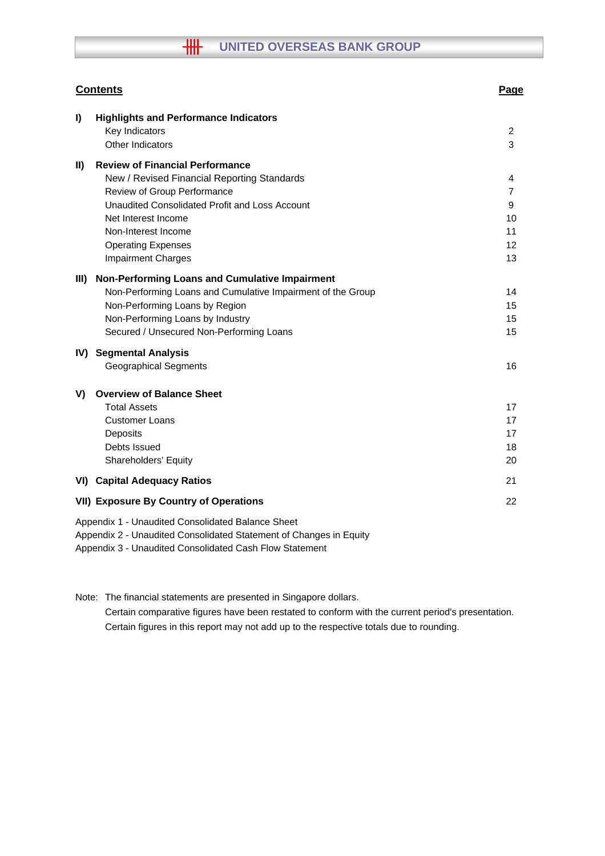|             | <b>Contents</b>                                                                                                                                                                                                                                                                | <b>Page</b>                         |
|-------------|--------------------------------------------------------------------------------------------------------------------------------------------------------------------------------------------------------------------------------------------------------------------------------|-------------------------------------|
| I)          | <b>Highlights and Performance Indicators</b><br>Key Indicators<br>Other Indicators                                                                                                                                                                                             | 2<br>3                              |
| $\parallel$ | <b>Review of Financial Performance</b><br>New / Revised Financial Reporting Standards<br>Review of Group Performance<br>Unaudited Consolidated Profit and Loss Account<br>Net Interest Income<br>Non-Interest Income<br><b>Operating Expenses</b><br><b>Impairment Charges</b> | 4<br>7<br>9<br>10<br>11<br>12<br>13 |
| III)        | Non-Performing Loans and Cumulative Impairment<br>Non-Performing Loans and Cumulative Impairment of the Group<br>Non-Performing Loans by Region<br>Non-Performing Loans by Industry<br>Secured / Unsecured Non-Performing Loans                                                | 14<br>15<br>15<br>15                |
|             | IV) Segmental Analysis<br><b>Geographical Segments</b>                                                                                                                                                                                                                         | 16                                  |
| V)          | <b>Overview of Balance Sheet</b><br><b>Total Assets</b><br><b>Customer Loans</b><br>Deposits<br>Debts Issued<br><b>Shareholders' Equity</b>                                                                                                                                    | 17<br>17<br>17<br>18<br>20          |
|             | <b>VI) Capital Adequacy Ratios</b>                                                                                                                                                                                                                                             | 21                                  |
|             | <b>VII) Exposure By Country of Operations</b>                                                                                                                                                                                                                                  | 22                                  |
|             | Appendix 1 - Unaudited Consolidated Balance Sheet<br>Appendix 2 - Unaudited Consolidated Statement of Changes in Equity<br>Appendix 2 Lleoudited Consolidated Cash Flow Statement                                                                                              |                                     |

Appendix 3 - Unaudited Consolidated Cash Flow Statement

Note: The financial statements are presented in Singapore dollars. Certain comparative figures have been restated to conform with the current period's presentation. Certain figures in this report may not add up to the respective totals due to rounding.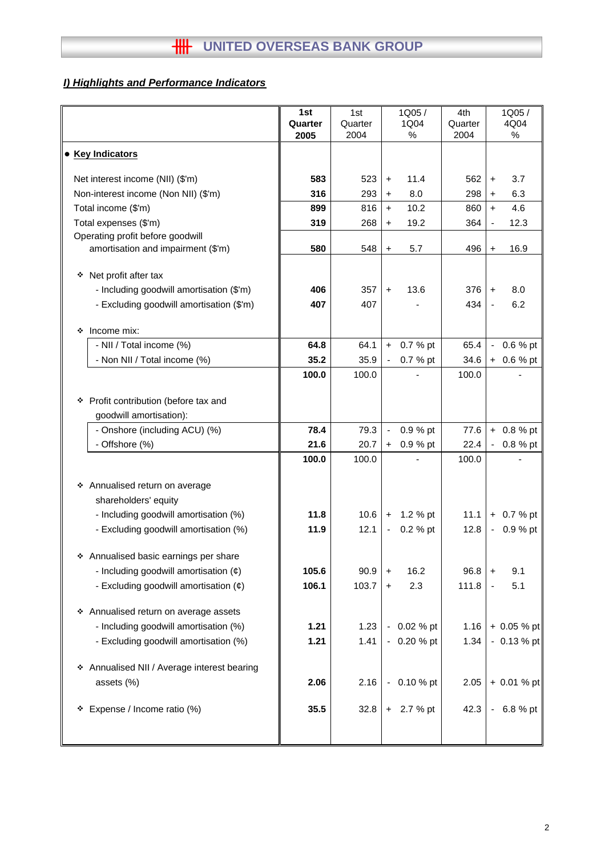# *I) Highlights and Performance Indicators*

|                                                                                                                                          | 1st            | 1st           | 1Q05/                                 | 4th           | 1Q05/                              |
|------------------------------------------------------------------------------------------------------------------------------------------|----------------|---------------|---------------------------------------|---------------|------------------------------------|
|                                                                                                                                          | Quarter        | Quarter       | 1Q04                                  | Quarter       | 4Q04                               |
|                                                                                                                                          | 2005           | 2004          | %                                     | 2004          | %                                  |
| • Key Indicators                                                                                                                         |                |               |                                       |               |                                    |
| Net interest income (NII) (\$'m)                                                                                                         | 583            | 523           | 11.4<br>$\ddot{}$                     | 562           | 3.7<br>$\ddot{}$                   |
| Non-interest income (Non NII) (\$'m)                                                                                                     | 316            | 293           | 8.0<br>$\ddot{}$                      | 298           | 6.3<br>$\ddot{}$                   |
| Total income (\$'m)                                                                                                                      | 899            | 816           | 10.2<br>$\ddot{}$                     | 860           | 4.6<br>$+$                         |
| Total expenses (\$'m)                                                                                                                    | 319            | 268           | 19.2<br>$\ddot{}$                     | 364           | 12.3<br>$\overline{\phantom{a}}$   |
| Operating profit before goodwill<br>amortisation and impairment (\$'m)                                                                   | 580            | 548           | 5.7<br>$\ddot{}$                      | 496           | 16.9<br>$\ddot{}$                  |
| ❖ Net profit after tax                                                                                                                   |                |               |                                       |               |                                    |
| - Including goodwill amortisation (\$'m)                                                                                                 | 406            | 357           | 13.6<br>$+$                           | 376           | 8.0<br>$+$                         |
| - Excluding goodwill amortisation (\$'m)                                                                                                 | 407            | 407           |                                       | 434           | 6.2                                |
|                                                                                                                                          |                |               |                                       |               |                                    |
| Income mix:<br>❖                                                                                                                         |                |               |                                       |               |                                    |
| - NII / Total income (%)                                                                                                                 | 64.8           | 64.1          | 0.7 % pt<br>$+$                       | 65.4          | 0.6 % pt<br>$\blacksquare$         |
| - Non NII / Total income (%)                                                                                                             | 35.2           | 35.9          | 0.7 % pt                              | 34.6          | 0.6 % pt<br>$+$                    |
|                                                                                                                                          | 100.0          | 100.0         |                                       | 100.0         |                                    |
| * Profit contribution (before tax and<br>goodwill amortisation):                                                                         |                |               |                                       |               |                                    |
| - Onshore (including ACU) (%)                                                                                                            | 78.4           | 79.3          | 0.9 % pt<br>$\blacksquare$            | 77.6          | $+ 0.8 %$ pt                       |
| - Offshore (%)                                                                                                                           | 21.6           | 20.7          | 0.9 % pt<br>$+$                       | 22.4          | 0.8 % pt                           |
|                                                                                                                                          | 100.0          | 100.0         |                                       | 100.0         |                                    |
| * Annualised return on average<br>shareholders' equity<br>- Including goodwill amortisation (%)<br>- Excluding goodwill amortisation (%) | 11.8<br>11.9   | 10.6<br>12.1  | 1.2 % pt<br>$+$<br>0.2 % pt           | 11.1<br>12.8  | $+ 0.7 %$ pt<br>0.9 % pt<br>$\sim$ |
| ❖ Annualised basic earnings per share<br>- Including goodwill amortisation $(\phi)$<br>- Excluding goodwill amortisation $(e)$           | 105.6<br>106.1 | 90.9<br>103.7 | 16.2<br>$\ddot{}$<br>2.3<br>$\ddot{}$ | 96.8<br>111.8 | 9.1<br>$\ddot{}$<br>5.1            |
| * Annualised return on average assets<br>- Including goodwill amortisation (%)<br>- Excluding goodwill amortisation (%)                  | 1.21<br>1.21   | 1.23<br>1.41  | 0.02 % pt<br>$-0.20 \%$ pt            | 1.16<br>1.34  | $+ 0.05 %$ pt<br>$-0.13%$ pt       |
| * Annualised NII / Average interest bearing<br>assets (%)                                                                                | 2.06           | 2.16          | 0.10 % pt                             | 2.05          | $+ 0.01 %$ pt                      |
| * Expense / Income ratio (%)                                                                                                             | 35.5           | 32.8          | + 2.7 % pt                            | 42.3          | 6.8 % pt<br>$\blacksquare$         |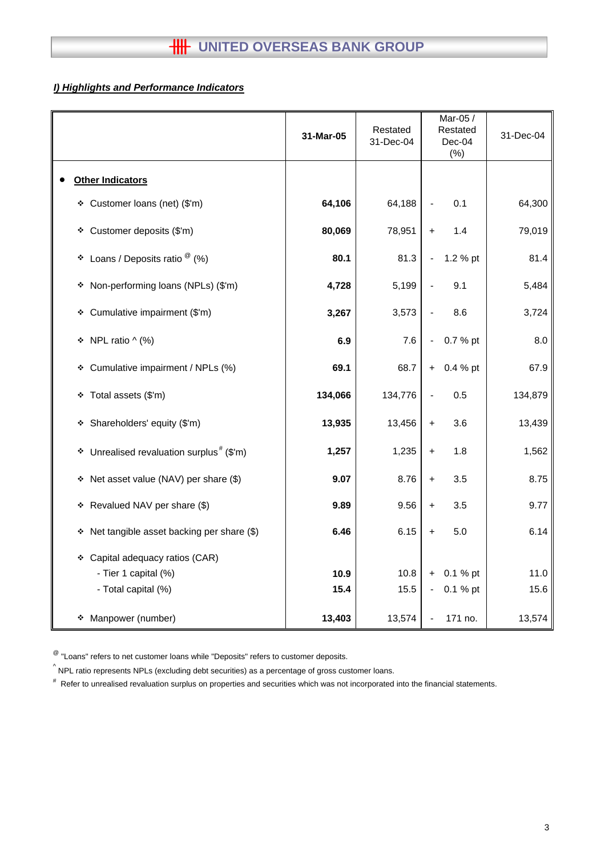# *I) Highlights and Performance Indicators*

|                                                        | 31-Mar-05 | Restated<br>31-Dec-04 | Mar-05 /<br>Restated<br>$Dec-04$<br>(%) | 31-Dec-04 |
|--------------------------------------------------------|-----------|-----------------------|-----------------------------------------|-----------|
| <b>Other Indicators</b>                                |           |                       |                                         |           |
| ❖ Customer loans (net) (\$'m)                          | 64,106    | 64,188                | 0.1                                     | 64,300    |
| * Customer deposits (\$'m)                             | 80,069    | 78,951                | 1.4<br>$+$                              | 79,019    |
| ❖ Loans / Deposits ratio $^{\circledR}$ (%)            | 80.1      | 81.3                  | 1.2 % pt                                | 81.4      |
| * Non-performing loans (NPLs) (\$'m)                   | 4,728     | 5,199                 | 9.1                                     | 5,484     |
| * Cumulative impairment (\$'m)                         | 3,267     | 3,573                 | 8.6                                     | 3,724     |
| * NPL ratio ^ (%)                                      | 6.9       | 7.6                   | 0.7 % pt                                | 8.0       |
| * Cumulative impairment / NPLs (%)                     | 69.1      | 68.7                  | 0.4 % pt<br>$\ddot{}$                   | 67.9      |
| * Total assets (\$'m)                                  | 134,066   | 134,776               | 0.5                                     | 134,879   |
| * Shareholders' equity (\$'m)                          | 13,935    | 13,456                | 3.6<br>$\ddot{}$                        | 13,439    |
| $*$ Unrealised revaluation surplus <sup>#</sup> (\$'m) | 1,257     | 1,235                 | 1.8<br>$\ddot{}$                        | 1,562     |
| * Net asset value (NAV) per share (\$)                 | 9.07      | 8.76                  | 3.5<br>$+$                              | 8.75      |
| * Revalued NAV per share (\$)                          | 9.89      | 9.56                  | 3.5<br>$\ddot{}$                        | 9.77      |
| Net tangible asset backing per share (\$)<br>٠         | 6.46      | 6.15                  | 5.0<br>$\ddot{}$                        | 6.14      |
| * Capital adequacy ratios (CAR)                        |           |                       |                                         |           |
| - Tier 1 capital (%)                                   | 10.9      | 10.8                  | 0.1 % pt<br>$+$                         | 11.0      |
| - Total capital (%)                                    | 15.4      | 15.5                  | 0.1 % pt<br>$\blacksquare$              | 15.6      |
| Manpower (number)<br>❖                                 | 13,403    | 13,574                | 171 no.                                 | 13,574    |

 $^{\circledR}$  "Loans" refers to net customer loans while "Deposits" refers to customer deposits.

 $^{\wedge}$  NPL ratio represents NPLs (excluding debt securities) as a percentage of gross customer loans.

# Refer to unrealised revaluation surplus on properties and securities which was not incorporated into the financial statements.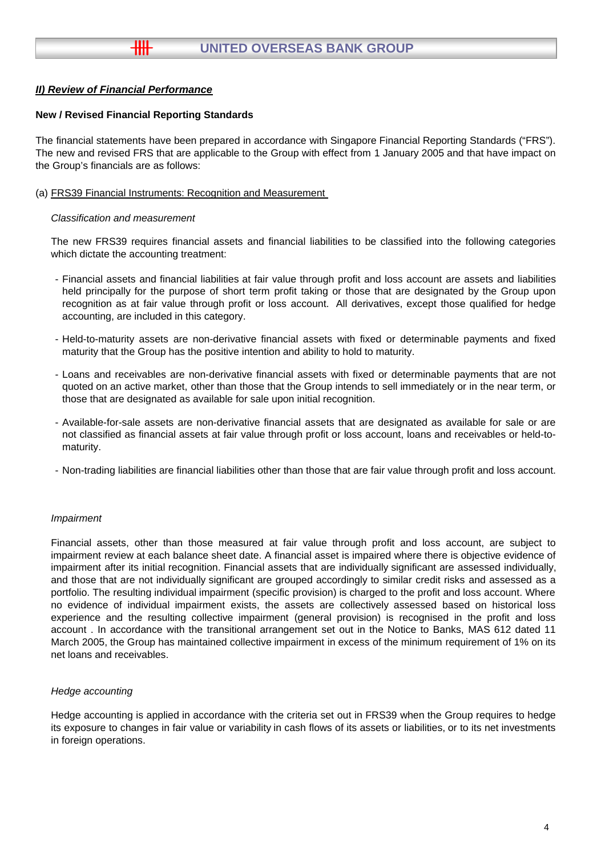#### **New / Revised Financial Reporting Standards**

╫╫

The financial statements have been prepared in accordance with Singapore Financial Reporting Standards ("FRS"). The new and revised FRS that are applicable to the Group with effect from 1 January 2005 and that have impact on the Group's financials are as follows:

(a) FRS39 Financial Instruments: Recognition and Measurement

#### *Classification and measurement*

The new FRS39 requires financial assets and financial liabilities to be classified into the following categories which dictate the accounting treatment:

- Financial assets and financial liabilities at fair value through profit and loss account are assets and liabilities held principally for the purpose of short term profit taking or those that are designated by the Group upon recognition as at fair value through profit or loss account. All derivatives, except those qualified for hedge accounting, are included in this category.
- Held-to-maturity assets are non-derivative financial assets with fixed or determinable payments and fixed maturity that the Group has the positive intention and ability to hold to maturity.
- Loans and receivables are non-derivative financial assets with fixed or determinable payments that are not quoted on an active market, other than those that the Group intends to sell immediately or in the near term, or those that are designated as available for sale upon initial recognition.
- Available-for-sale assets are non-derivative financial assets that are designated as available for sale or are not classified as financial assets at fair value through profit or loss account, loans and receivables or held-tomaturity.
- Non-trading liabilities are financial liabilities other than those that are fair value through profit and loss account.

#### *Impairment*

Financial assets, other than those measured at fair value through profit and loss account, are subject to impairment review at each balance sheet date. A financial asset is impaired where there is objective evidence of impairment after its initial recognition. Financial assets that are individually significant are assessed individually, and those that are not individually significant are grouped accordingly to similar credit risks and assessed as a portfolio. The resulting individual impairment (specific provision) is charged to the profit and loss account. Where no evidence of individual impairment exists, the assets are collectively assessed based on historical loss experience and the resulting collective impairment (general provision) is recognised in the profit and loss account . In accordance with the transitional arrangement set out in the Notice to Banks, MAS 612 dated 11 March 2005, the Group has maintained collective impairment in excess of the minimum requirement of 1% on its net loans and receivables.

#### *Hedge accounting*

Hedge accounting is applied in accordance with the criteria set out in FRS39 when the Group requires to hedge its exposure to changes in fair value or variability in cash flows of its assets or liabilities, or to its net investments in foreign operations.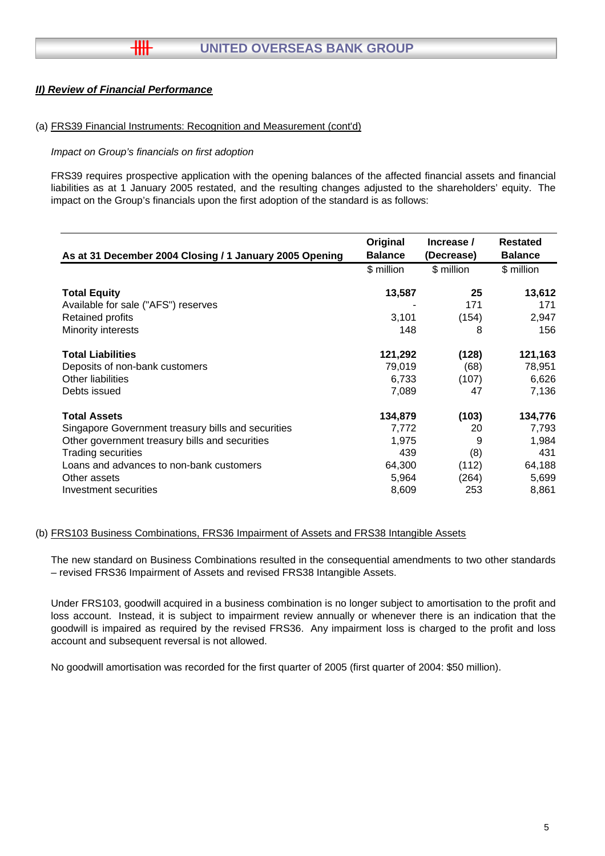╫╫

#### (a) FRS39 Financial Instruments: Recognition and Measurement (cont'd)

#### *Impact on Group's financials on first adoption*

FRS39 requires prospective application with the opening balances of the affected financial assets and financial liabilities as at 1 January 2005 restated, and the resulting changes adjusted to the shareholders' equity. The impact on the Group's financials upon the first adoption of the standard is as follows:

| As at 31 December 2004 Closing / 1 January 2005 Opening | Original<br><b>Balance</b> | Increase /<br>(Decrease) | Restated<br><b>Balance</b> |
|---------------------------------------------------------|----------------------------|--------------------------|----------------------------|
|                                                         | \$ million                 | \$ million               | \$ million                 |
| <b>Total Equity</b>                                     | 13,587                     | 25                       | 13,612                     |
| Available for sale ("AFS") reserves                     |                            | 171                      | 171                        |
| <b>Retained profits</b>                                 | 3,101                      | (154)                    | 2,947                      |
| Minority interests                                      | 148                        | 8                        | 156                        |
| <b>Total Liabilities</b>                                | 121,292                    | (128)                    | 121,163                    |
| Deposits of non-bank customers                          | 79,019                     | (68)                     | 78,951                     |
| Other liabilities                                       | 6,733                      | (107)                    | 6,626                      |
| Debts issued                                            | 7,089                      | 47                       | 7,136                      |
| <b>Total Assets</b>                                     | 134,879                    | (103)                    | 134,776                    |
| Singapore Government treasury bills and securities      | 7,772                      | 20                       | 7,793                      |
| Other government treasury bills and securities          | 1,975                      | 9                        | 1,984                      |
| <b>Trading securities</b>                               | 439                        | (8)                      | 431                        |
| Loans and advances to non-bank customers                | 64,300                     | (112)                    | 64,188                     |
| Other assets                                            | 5,964                      | (264)                    | 5,699                      |
| Investment securities                                   | 8,609                      | 253                      | 8,861                      |

#### (b) FRS103 Business Combinations, FRS36 Impairment of Assets and FRS38 Intangible Assets

The new standard on Business Combinations resulted in the consequential amendments to two other standards – revised FRS36 Impairment of Assets and revised FRS38 Intangible Assets.

Under FRS103, goodwill acquired in a business combination is no longer subject to amortisation to the profit and loss account. Instead, it is subject to impairment review annually or whenever there is an indication that the goodwill is impaired as required by the revised FRS36. Any impairment loss is charged to the profit and loss account and subsequent reversal is not allowed.

No goodwill amortisation was recorded for the first quarter of 2005 (first quarter of 2004: \$50 million).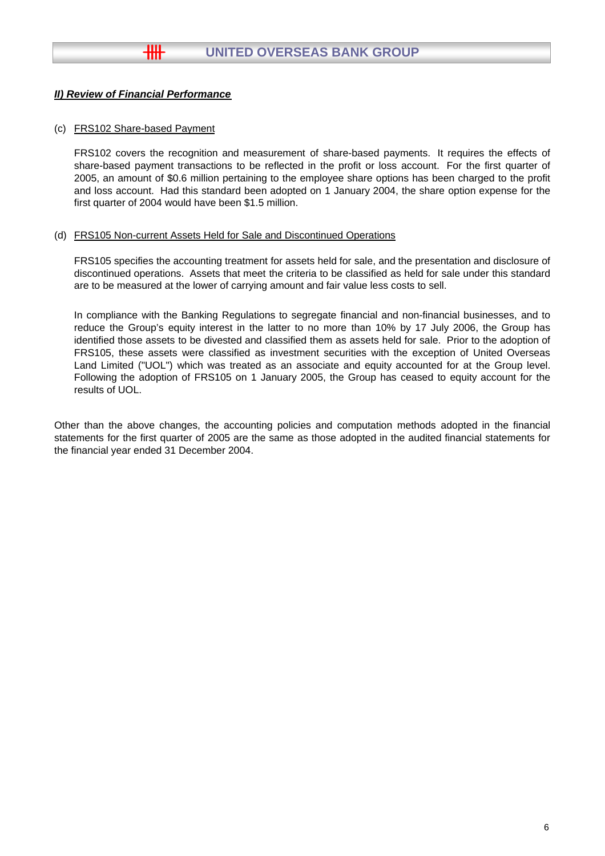$+$ 

#### (c) FRS102 Share-based Payment

FRS102 covers the recognition and measurement of share-based payments. It requires the effects of share-based payment transactions to be reflected in the profit or loss account. For the first quarter of 2005, an amount of \$0.6 million pertaining to the employee share options has been charged to the profit and loss account. Had this standard been adopted on 1 January 2004, the share option expense for the first quarter of 2004 would have been \$1.5 million.

#### (d) FRS105 Non-current Assets Held for Sale and Discontinued Operations

FRS105 specifies the accounting treatment for assets held for sale, and the presentation and disclosure of discontinued operations. Assets that meet the criteria to be classified as held for sale under this standard are to be measured at the lower of carrying amount and fair value less costs to sell.

In compliance with the Banking Regulations to segregate financial and non-financial businesses, and to reduce the Group's equity interest in the latter to no more than 10% by 17 July 2006, the Group has identified those assets to be divested and classified them as assets held for sale. Prior to the adoption of FRS105, these assets were classified as investment securities with the exception of United Overseas Land Limited ("UOL") which was treated as an associate and equity accounted for at the Group level. Following the adoption of FRS105 on 1 January 2005, the Group has ceased to equity account for the results of UOL.

Other than the above changes, the accounting policies and computation methods adopted in the financial statements for the first quarter of 2005 are the same as those adopted in the audited financial statements for the financial year ended 31 December 2004.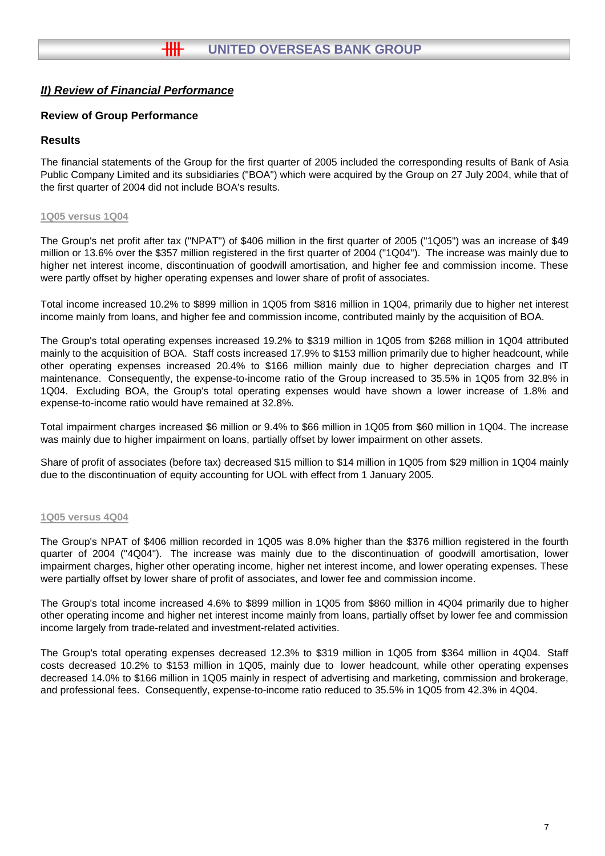## **Review of Group Performance**

### **Results**

The financial statements of the Group for the first quarter of 2005 included the corresponding results of Bank of Asia Public Company Limited and its subsidiaries ("BOA") which were acquired by the Group on 27 July 2004, while that of the first quarter of 2004 did not include BOA's results.

#### **1Q05 versus 1Q04**

The Group's net profit after tax ("NPAT") of \$406 million in the first quarter of 2005 ("1Q05") was an increase of \$49 million or 13.6% over the \$357 million registered in the first quarter of 2004 ("1Q04"). The increase was mainly due to higher net interest income, discontinuation of goodwill amortisation, and higher fee and commission income. These were partly offset by higher operating expenses and lower share of profit of associates.

Total income increased 10.2% to \$899 million in 1Q05 from \$816 million in 1Q04, primarily due to higher net interest income mainly from loans, and higher fee and commission income, contributed mainly by the acquisition of BOA.

The Group's total operating expenses increased 19.2% to \$319 million in 1Q05 from \$268 million in 1Q04 attributed mainly to the acquisition of BOA. Staff costs increased 17.9% to \$153 million primarily due to higher headcount, while other operating expenses increased 20.4% to \$166 million mainly due to higher depreciation charges and IT maintenance. Consequently, the expense-to-income ratio of the Group increased to 35.5% in 1Q05 from 32.8% in 1Q04. Excluding BOA, the Group's total operating expenses would have shown a lower increase of 1.8% and expense-to-income ratio would have remained at 32.8%.

Total impairment charges increased \$6 million or 9.4% to \$66 million in 1Q05 from \$60 million in 1Q04. The increase was mainly due to higher impairment on loans, partially offset by lower impairment on other assets.

Share of profit of associates (before tax) decreased \$15 million to \$14 million in 1Q05 from \$29 million in 1Q04 mainly due to the discontinuation of equity accounting for UOL with effect from 1 January 2005.

#### **1Q05 versus 4Q04**

The Group's NPAT of \$406 million recorded in 1Q05 was 8.0% higher than the \$376 million registered in the fourth quarter of 2004 ("4Q04"). The increase was mainly due to the discontinuation of goodwill amortisation, lower impairment charges, higher other operating income, higher net interest income, and lower operating expenses. These were partially offset by lower share of profit of associates, and lower fee and commission income.

The Group's total income increased 4.6% to \$899 million in 1Q05 from \$860 million in 4Q04 primarily due to higher other operating income and higher net interest income mainly from loans, partially offset by lower fee and commission income largely from trade-related and investment-related activities.

The Group's total operating expenses decreased 12.3% to \$319 million in 1Q05 from \$364 million in 4Q04. Staff costs decreased 10.2% to \$153 million in 1Q05, mainly due to lower headcount, while other operating expenses decreased 14.0% to \$166 million in 1Q05 mainly in respect of advertising and marketing, commission and brokerage, and professional fees. Consequently, expense-to-income ratio reduced to 35.5% in 1Q05 from 42.3% in 4Q04.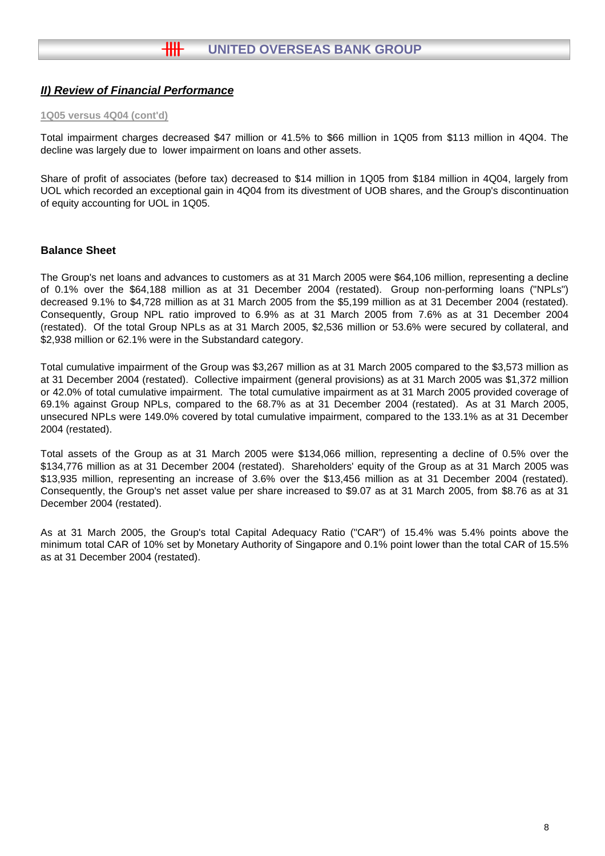#### **1Q05 versus 4Q04 (cont'd)**

Total impairment charges decreased \$47 million or 41.5% to \$66 million in 1Q05 from \$113 million in 4Q04. The decline was largely due to lower impairment on loans and other assets.

Share of profit of associates (before tax) decreased to \$14 million in 1Q05 from \$184 million in 4Q04, largely from UOL which recorded an exceptional gain in 4Q04 from its divestment of UOB shares, and the Group's discontinuation of equity accounting for UOL in 1Q05.

## **Balance Sheet**

The Group's net loans and advances to customers as at 31 March 2005 were \$64,106 million, representing a decline of 0.1% over the \$64,188 million as at 31 December 2004 (restated). Group non-performing loans ("NPLs") decreased 9.1% to \$4,728 million as at 31 March 2005 from the \$5,199 million as at 31 December 2004 (restated). Consequently, Group NPL ratio improved to 6.9% as at 31 March 2005 from 7.6% as at 31 December 2004 (restated). Of the total Group NPLs as at 31 March 2005, \$2,536 million or 53.6% were secured by collateral, and \$2,938 million or 62.1% were in the Substandard category.

Total cumulative impairment of the Group was \$3,267 million as at 31 March 2005 compared to the \$3,573 million as at 31 December 2004 (restated). Collective impairment (general provisions) as at 31 March 2005 was \$1,372 million or 42.0% of total cumulative impairment. The total cumulative impairment as at 31 March 2005 provided coverage of 69.1% against Group NPLs, compared to the 68.7% as at 31 December 2004 (restated). As at 31 March 2005, unsecured NPLs were 149.0% covered by total cumulative impairment, compared to the 133.1% as at 31 December 2004 (restated).

Total assets of the Group as at 31 March 2005 were \$134,066 million, representing a decline of 0.5% over the \$134,776 million as at 31 December 2004 (restated). Shareholders' equity of the Group as at 31 March 2005 was \$13,935 million, representing an increase of 3.6% over the \$13,456 million as at 31 December 2004 (restated). Consequently, the Group's net asset value per share increased to \$9.07 as at 31 March 2005, from \$8.76 as at 31 December 2004 (restated).

As at 31 March 2005, the Group's total Capital Adequacy Ratio ("CAR") of 15.4% was 5.4% points above the minimum total CAR of 10% set by Monetary Authority of Singapore and 0.1% point lower than the total CAR of 15.5% as at 31 December 2004 (restated).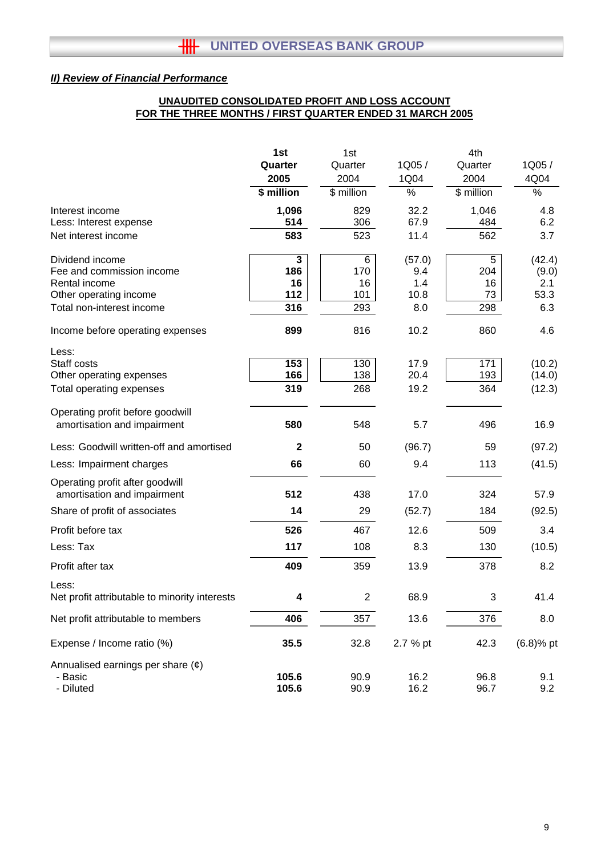## **UNAUDITED CONSOLIDATED PROFIT AND LOSS ACCOUNT FOR THE THREE MONTHS / FIRST QUARTER ENDED 31 MARCH 2005**

|                                                                | 1st                     | 1st<br>4th     |          |                   |              |  |
|----------------------------------------------------------------|-------------------------|----------------|----------|-------------------|--------------|--|
|                                                                | Quarter                 | Quarter        | 1Q05/    | Quarter           | 1Q05/        |  |
|                                                                | 2005                    | 2004           | 1Q04     | 2004              | 4Q04         |  |
|                                                                | \$ million              | \$ million     | %        | $\sqrt{$$ million | $\%$         |  |
| Interest income                                                | 1,096                   | 829            | 32.2     | 1,046             | 4.8          |  |
| Less: Interest expense                                         | 514                     | 306            | 67.9     | 484               | 6.2          |  |
| Net interest income                                            | 583                     | 523            | 11.4     | 562               | 3.7          |  |
| Dividend income                                                | $\overline{\mathbf{3}}$ | 6              | (57.0)   | 5                 | (42.4)       |  |
| Fee and commission income                                      | 186                     | 170            | 9.4      | 204               | (9.0)        |  |
| Rental income                                                  | 16                      | 16             | 1.4      | 16                | 2.1          |  |
| Other operating income                                         | 112                     | 101            | 10.8     | 73                | 53.3         |  |
| Total non-interest income                                      | 316                     | 293            | 8.0      | 298               | 6.3          |  |
| Income before operating expenses                               | 899                     | 816            | 10.2     | 860               | 4.6          |  |
| Less:                                                          |                         |                |          |                   |              |  |
| Staff costs                                                    | 153                     | 130            | 17.9     | 171               | (10.2)       |  |
| Other operating expenses                                       | 166                     | 138            | 20.4     | 193               | (14.0)       |  |
| Total operating expenses                                       | 319                     | 268            | 19.2     | 364               | (12.3)       |  |
| Operating profit before goodwill                               |                         |                |          |                   |              |  |
| amortisation and impairment                                    | 580                     | 548            | 5.7      | 496               | 16.9         |  |
| Less: Goodwill written-off and amortised                       | $\mathbf{2}$            | 50             | (96.7)   | 59                | (97.2)       |  |
| Less: Impairment charges                                       | 66                      | 60             | 9.4      | 113               | (41.5)       |  |
| Operating profit after goodwill<br>amortisation and impairment | 512                     | 438            | 17.0     | 324               | 57.9         |  |
|                                                                |                         |                |          |                   |              |  |
| Share of profit of associates                                  | 14                      | 29             | (52.7)   | 184               | (92.5)       |  |
| Profit before tax                                              | 526                     | 467            | 12.6     | 509               | 3.4          |  |
| Less: Tax                                                      | 117                     | 108            | 8.3      | 130               | (10.5)       |  |
| Profit after tax                                               | 409                     | 359            | 13.9     | 378               | 8.2          |  |
| Less:                                                          |                         |                |          |                   |              |  |
| Net profit attributable to minority interests                  | 4                       | $\overline{2}$ | 68.9     | 3                 | 41.4         |  |
| Net profit attributable to members                             | 406                     | 357            | 13.6     | 376               | 8.0          |  |
| Expense / Income ratio (%)                                     | 35.5                    | 32.8           | 2.7 % pt | 42.3              | $(6.8)$ % pt |  |
| Annualised earnings per share $(e)$                            |                         |                |          |                   |              |  |
| - Basic                                                        | 105.6                   | 90.9           | 16.2     | 96.8              | 9.1          |  |
| - Diluted                                                      | 105.6                   | 90.9           | 16.2     | 96.7              | 9.2          |  |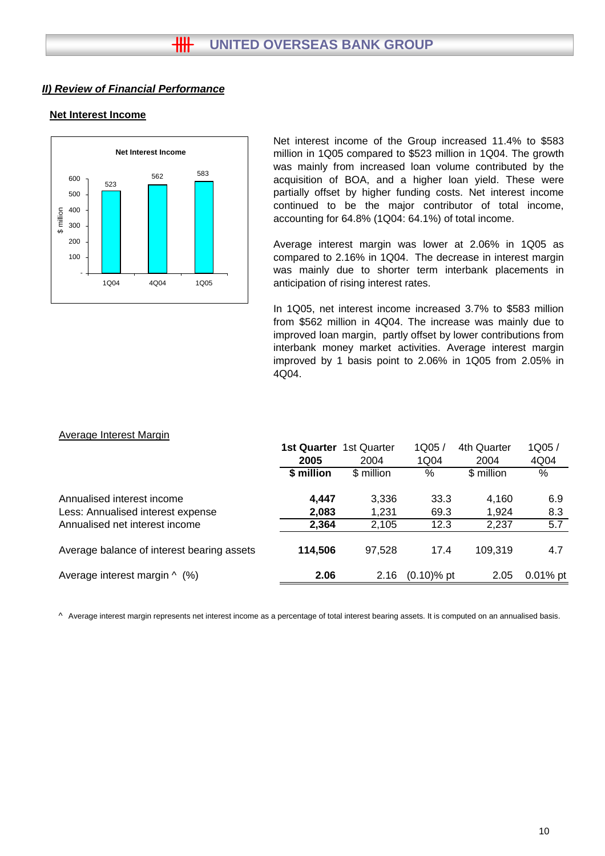#### **Net Interest Income**



Net interest income of the Group increased 11.4% to \$583 million in 1Q05 compared to \$523 million in 1Q04. The growth was mainly from increased loan volume contributed by the acquisition of BOA, and a higher loan yield. These were partially offset by higher funding costs. Net interest income continued to be the major contributor of total income, accounting for 64.8% (1Q04: 64.1%) of total income.

Average interest margin was lower at 2.06% in 1Q05 as compared to 2.16% in 1Q04. The decrease in interest margin was mainly due to shorter term interbank placements in anticipation of rising interest rates.

In 1Q05, net interest income increased 3.7% to \$583 million from \$562 million in 4Q04. The increase was mainly due to improved loan margin, partly offset by lower contributions from interbank money market activities. Average interest margin improved by 1 basis point to 2.06% in 1Q05 from 2.05% in 4Q04.

#### Average Interest Margin

|                                            | <b>1st Quarter</b> | 1st Quarter | 1Q05/         | 4th Quarter | 1Q05/      |
|--------------------------------------------|--------------------|-------------|---------------|-------------|------------|
|                                            | 2005               | 2004        | 1Q04          | 2004        | 4Q04       |
|                                            | \$ million         | \$ million  | %             | \$ million  | %          |
| Annualised interest income                 | 4,447              | 3,336       | 33.3          | 4,160       | 6.9        |
| Less: Annualised interest expense          | 2,083              | 1,231       | 69.3          | 1.924       | 8.3        |
| Annualised net interest income             | 2,364              | 2,105       | 12.3          | 2,237       | 5.7        |
| Average balance of interest bearing assets | 114,506            | 97.528      | 17.4          | 109.319     | 4.7        |
| Average interest margin $\wedge$ (%)       | 2.06               | 2.16        | $(0.10)$ % pt | 2.05        | $0.01%$ pt |
|                                            |                    |             |               |             |            |

^ Average interest margin represents net interest income as a percentage of total interest bearing assets. It is computed on an annualised basis.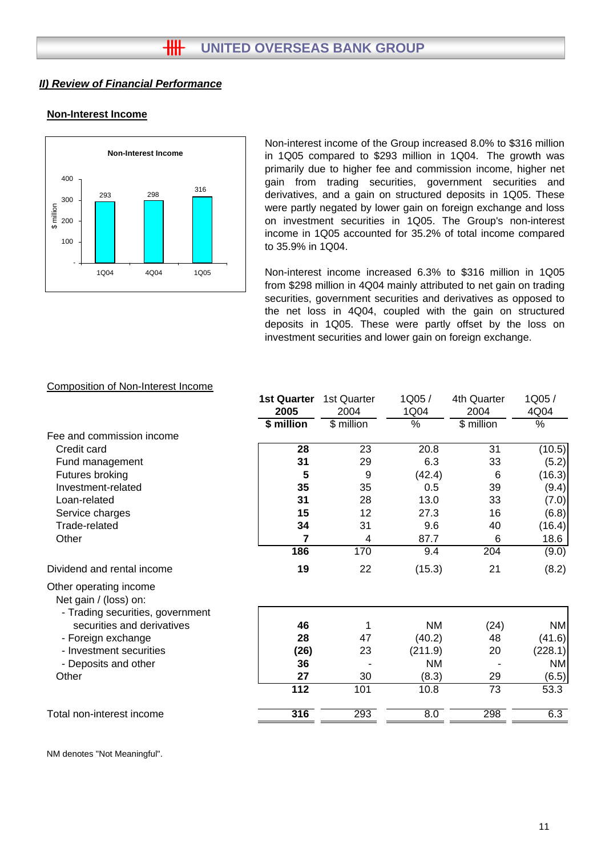# **Non-Interest Income**



Non-interest income of the Group increased 8.0% to \$316 million in 1Q05 compared to \$293 million in 1Q04. The growth was primarily due to higher fee and commission income, higher net gain from trading securities, government securities and derivatives, and a gain on structured deposits in 1Q05. These were partly negated by lower gain on foreign exchange and loss on investment securities in 1Q05. The Group's non-interest income in 1Q05 accounted for 35.2% of total income compared to 35.9% in 1Q04.

Non-interest income increased 6.3% to \$316 million in 1Q05 from \$298 million in 4Q04 mainly attributed to net gain on trading securities, government securities and derivatives as opposed to the net loss in 4Q04, coupled with the gain on structured deposits in 1Q05. These were partly offset by the loss on investment securities and lower gain on foreign exchange.

# Composition of Non-Interest Income

|                                                                                     | <b>1st Quarter</b><br>2005 | 1st Quarter<br>2004 | 1Q05/<br>1Q04 | 4th Quarter<br>2004 | 1Q05/<br>4Q04 |
|-------------------------------------------------------------------------------------|----------------------------|---------------------|---------------|---------------------|---------------|
|                                                                                     | \$ million                 | \$ million          | %             | \$ million          | %             |
| Fee and commission income                                                           |                            |                     |               |                     |               |
| Credit card                                                                         | 28                         | 23                  | 20.8          | 31                  | (10.5)        |
| Fund management                                                                     | 31                         | 29                  | 6.3           | 33                  | (5.2)         |
| Futures broking                                                                     | 5                          | 9                   | (42.4)        | 6                   | (16.3)        |
| Investment-related                                                                  | 35                         | 35                  | 0.5           | 39                  | (9.4)         |
| Loan-related                                                                        | 31                         | 28                  | 13.0          | 33                  | (7.0)         |
| Service charges                                                                     | 15                         | 12                  | 27.3          | 16                  | (6.8)         |
| Trade-related                                                                       | 34                         | 31                  | 9.6           | 40                  | (16.4)        |
| Other                                                                               | 7                          | 4                   | 87.7          | 6                   | 18.6          |
|                                                                                     | 186                        | 170                 | 9.4           | $\overline{204}$    | (9.0)         |
| Dividend and rental income                                                          | 19                         | 22                  | (15.3)        | 21                  | (8.2)         |
| Other operating income<br>Net gain / (loss) on:<br>- Trading securities, government |                            |                     |               |                     |               |
| securities and derivatives                                                          | 46                         | 1                   | <b>NM</b>     | (24)                | <b>NM</b>     |
| - Foreign exchange                                                                  | 28                         | 47                  | (40.2)        | 48                  | (41.6)        |
| - Investment securities                                                             | (26)                       | 23                  | (211.9)       | 20                  | (228.1)       |
| - Deposits and other                                                                | 36                         |                     | <b>NM</b>     |                     | ΝM            |
| Other                                                                               | 27                         | 30                  | (8.3)         | 29                  | (6.5)         |
|                                                                                     | $\overline{112}$           | 101                 | 10.8          | $\overline{73}$     | 53.3          |
| Total non-interest income                                                           | 316                        | 293                 | 8.0           | 298                 | 6.3           |

NM denotes "Not Meaningful".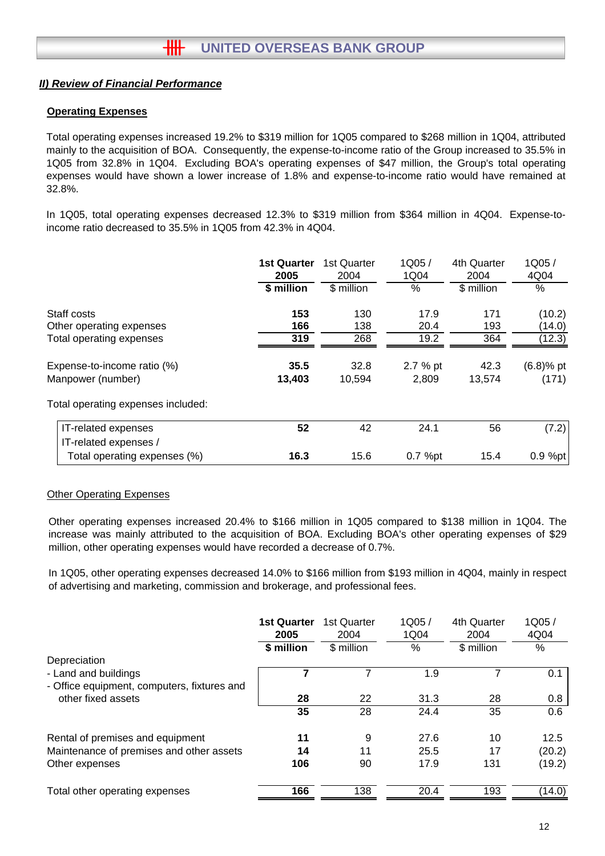## **Operating Expenses**

Total operating expenses increased 19.2% to \$319 million for 1Q05 compared to \$268 million in 1Q04, attributed mainly to the acquisition of BOA. Consequently, the expense-to-income ratio of the Group increased to 35.5% in 1Q05 from 32.8% in 1Q04. Excluding BOA's operating expenses of \$47 million, the Group's total operating expenses would have shown a lower increase of 1.8% and expense-to-income ratio would have remained at 32.8%.

In 1Q05, total operating expenses decreased 12.3% to \$319 million from \$364 million in 4Q04. Expense-toincome ratio decreased to 35.5% in 1Q05 from 42.3% in 4Q04.

|                                    | <b>1st Quarter</b><br>2005<br>\$ million | 1st Quarter<br>2004<br>\$ million | 1Q05/<br>1Q04<br>$\%$ | 4th Quarter<br>2004<br>\$ million | 1Q05/<br>4Q04<br>$\%$ |
|------------------------------------|------------------------------------------|-----------------------------------|-----------------------|-----------------------------------|-----------------------|
| Staff costs                        | 153                                      | 130                               | 17.9                  | 171                               | (10.2)                |
| Other operating expenses           | 166                                      | 138                               | 20.4                  | 193                               | (14.0)                |
| Total operating expenses           | 319                                      | 268                               | 19.2                  | 364                               | (12.3)                |
| Expense-to-income ratio (%)        | 35.5                                     | 32.8                              | 2.7 % pt              | 42.3                              | $(6.8)$ % pt          |
| Manpower (number)                  | 13,403                                   | 10,594                            | 2.809                 | 13,574                            | (171)                 |
| Total operating expenses included: |                                          |                                   |                       |                                   |                       |
| IT-related expenses                | 52                                       | 42                                | 24.1                  | 56                                | (7.2)                 |
| IT-related expenses /              |                                          |                                   |                       |                                   |                       |
| Total operating expenses (%)       | 16.3                                     | 15.6                              | 0.7 %pt               | 15.4                              | $0.9 \%$ pt           |

### **Other Operating Expenses**

Other operating expenses increased 20.4% to \$166 million in 1Q05 compared to \$138 million in 1Q04. The increase was mainly attributed to the acquisition of BOA. Excluding BOA's other operating expenses of \$29 million, other operating expenses would have recorded a decrease of 0.7%.

In 1Q05, other operating expenses decreased 14.0% to \$166 million from \$193 million in 4Q04, mainly in respect of advertising and marketing, commission and brokerage, and professional fees.

|                                                                     | <b>1st Quarter</b><br>2005 | 1st Quarter<br>2004 | 1Q05/<br>1Q04 | 4th Quarter<br>2004 | 1Q05/<br>4Q04 |
|---------------------------------------------------------------------|----------------------------|---------------------|---------------|---------------------|---------------|
| Depreciation                                                        | \$ million                 | \$ million          | $\%$          | \$ million          | %             |
| - Land and buildings<br>- Office equipment, computers, fixtures and |                            |                     | 1.9           |                     | 0.1           |
| other fixed assets                                                  | 28                         | 22                  | 31.3          | 28                  | 0.8           |
|                                                                     | 35                         | 28                  | 24.4          | 35                  | 0.6           |
| Rental of premises and equipment                                    | 11                         | 9                   | 27.6          | 10                  | 12.5          |
| Maintenance of premises and other assets                            | 14                         | 11                  | 25.5          | 17                  | (20.2)        |
| Other expenses                                                      | 106                        | 90                  | 17.9          | 131                 | (19.2)        |
| Total other operating expenses                                      | 166                        | 138                 | 20.4          | 193                 | (14.0)        |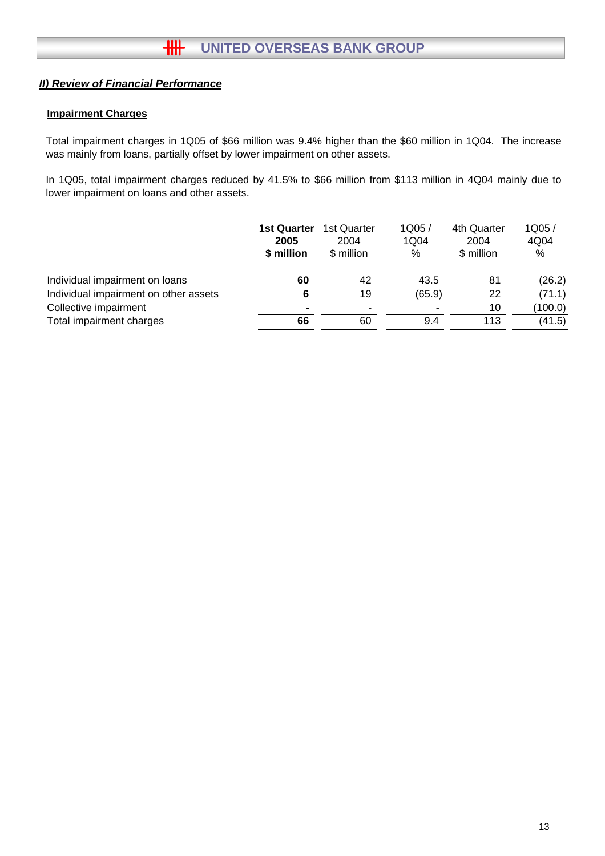## **Impairment Charges**

Total impairment charges in 1Q05 of \$66 million was 9.4% higher than the \$60 million in 1Q04. The increase was mainly from loans, partially offset by lower impairment on other assets.

In 1Q05, total impairment charges reduced by 41.5% to \$66 million from \$113 million in 4Q04 mainly due to lower impairment on loans and other assets.

|                                       | <b>1st Quarter</b><br>2005<br>\$ million | 1st Quarter<br>2004<br>\$ million | 1Q05/<br>1Q04<br>% | 4th Quarter<br>2004<br>\$ million | 1Q05/<br>4Q04<br>% |
|---------------------------------------|------------------------------------------|-----------------------------------|--------------------|-----------------------------------|--------------------|
| Individual impairment on loans        | 60                                       | 42                                | 43.5               | 81                                | (26.2)             |
| Individual impairment on other assets | 6                                        | 19                                | (65.9)             | 22                                | (71.1)             |
| Collective impairment                 |                                          | ٠                                 |                    | 10                                | (100.0)            |
| Total impairment charges              | 66                                       | 60                                | 9.4                | 113                               | (41.5)             |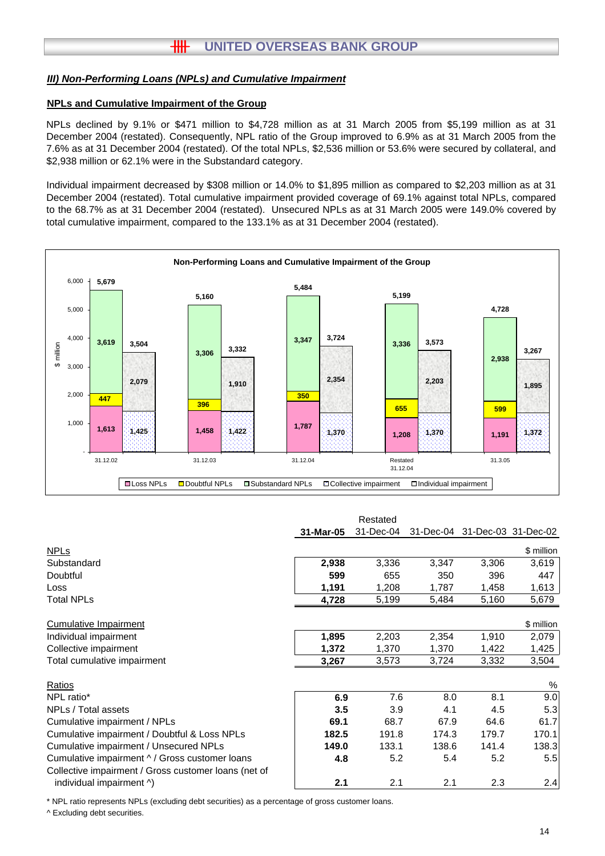## *III) Non-Performing Loans (NPLs) and Cumulative Impairment*

### **NPLs and Cumulative Impairment of the Group**

NPLs declined by 9.1% or \$471 million to \$4,728 million as at 31 March 2005 from \$5,199 million as at 31 December 2004 (restated). Consequently, NPL ratio of the Group improved to 6.9% as at 31 March 2005 from the 7.6% as at 31 December 2004 (restated). Of the total NPLs, \$2,536 million or 53.6% were secured by collateral, and \$2,938 million or 62.1% were in the Substandard category.

Individual impairment decreased by \$308 million or 14.0% to \$1,895 million as compared to \$2,203 million as at 31 December 2004 (restated). Total cumulative impairment provided coverage of 69.1% against total NPLs, compared to the 68.7% as at 31 December 2004 (restated). Unsecured NPLs as at 31 March 2005 were 149.0% covered by total cumulative impairment, compared to the 133.1% as at 31 December 2004 (restated).



|                                                      |           | Restated  |       |                               |            |
|------------------------------------------------------|-----------|-----------|-------|-------------------------------|------------|
|                                                      | 31-Mar-05 | 31-Dec-04 |       | 31-Dec-04 31-Dec-03 31-Dec-02 |            |
| <b>NPLs</b>                                          |           |           |       |                               | \$ million |
| Substandard                                          | 2,938     | 3,336     | 3,347 | 3,306                         | 3,619      |
| Doubtful                                             | 599       | 655       | 350   | 396                           | 447        |
| Loss                                                 | 1,191     | 1,208     | 1,787 | 1,458                         | 1,613      |
| <b>Total NPLs</b>                                    | 4,728     | 5,199     | 5,484 | 5,160                         | 5,679      |
| <b>Cumulative Impairment</b>                         |           |           |       |                               | \$ million |
| Individual impairment                                | 1,895     | 2,203     | 2,354 | 1,910                         | 2,079      |
| Collective impairment                                | 1,372     | 1,370     | 1,370 | 1,422                         | 1,425      |
| Total cumulative impairment                          | 3,267     | 3,573     | 3,724 | 3,332                         | 3,504      |
| Ratios                                               |           |           |       |                               | %          |
| NPL ratio*                                           | 6.9       | 7.6       | 8.0   | 8.1                           | 9.0        |
| NPLs / Total assets                                  | 3.5       | 3.9       | 4.1   | 4.5                           | 5.3        |
| Cumulative impairment / NPLs                         | 69.1      | 68.7      | 67.9  | 64.6                          | 61.7       |
| Cumulative impairment / Doubtful & Loss NPLs         | 182.5     | 191.8     | 174.3 | 179.7                         | 170.1      |
| Cumulative impairment / Unsecured NPLs               | 149.0     | 133.1     | 138.6 | 141.4                         | 138.3      |
| Cumulative impairment ^ / Gross customer loans       | 4.8       | 5.2       | 5.4   | 5.2                           | 5.5        |
| Collective impairment / Gross customer loans (net of |           |           |       |                               |            |
| individual impairment ^)                             | 2.1       | 2.1       | 2.1   | 2.3                           | 2.4        |

\* NPL ratio represents NPLs (excluding debt securities) as a percentage of gross customer loans.

^ Excluding debt securities.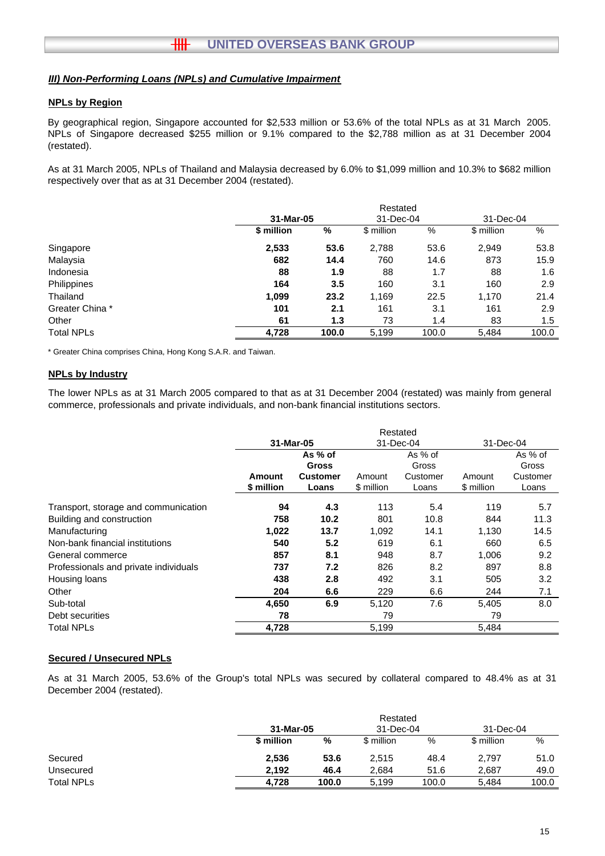### *III) Non-Performing Loans (NPLs) and Cumulative Impairment*

#### **NPLs by Region**

By geographical region, Singapore accounted for \$2,533 million or 53.6% of the total NPLs as at 31 March 2005. NPLs of Singapore decreased \$255 million or 9.1% compared to the \$2,788 million as at 31 December 2004 (restated).

As at 31 March 2005, NPLs of Thailand and Malaysia decreased by 6.0% to \$1,099 million and 10.3% to \$682 million respectively over that as at 31 December 2004 (restated).

|                   |            | Restated |            |       |            |       |  |  |
|-------------------|------------|----------|------------|-------|------------|-------|--|--|
|                   | 31-Mar-05  |          | 31-Dec-04  |       | 31-Dec-04  |       |  |  |
|                   | \$ million | %        | \$ million | %     | \$ million | %     |  |  |
| Singapore         | 2,533      | 53.6     | 2,788      | 53.6  | 2,949      | 53.8  |  |  |
| Malaysia          | 682        | 14.4     | 760        | 14.6  | 873        | 15.9  |  |  |
| Indonesia         | 88         | 1.9      | 88         | 1.7   | 88         | 1.6   |  |  |
| Philippines       | 164        | 3.5      | 160        | 3.1   | 160        | 2.9   |  |  |
| Thailand          | 1,099      | 23.2     | 1,169      | 22.5  | 1,170      | 21.4  |  |  |
| Greater China *   | 101        | 2.1      | 161        | 3.1   | 161        | 2.9   |  |  |
| Other             | 61         | 1.3      | 73         | 1.4   | 83         | 1.5   |  |  |
| <b>Total NPLs</b> | 4,728      | 100.0    | 5.199      | 100.0 | 5.484      | 100.0 |  |  |

\* Greater China comprises China, Hong Kong S.A.R. and Taiwan.

#### **NPLs by Industry**

The lower NPLs as at 31 March 2005 compared to that as at 31 December 2004 (restated) was mainly from general commerce, professionals and private individuals, and non-bank financial institutions sectors.

|                                       | Restated   |                 |            |          |            |          |
|---------------------------------------|------------|-----------------|------------|----------|------------|----------|
|                                       | 31-Mar-05  |                 | 31-Dec-04  |          | 31-Dec-04  |          |
|                                       |            | As % of         |            | As % of  |            | As % of  |
|                                       |            | Gross           |            | Gross    |            | Gross    |
|                                       | Amount     | <b>Customer</b> | Amount     | Customer | Amount     | Customer |
|                                       | \$ million | Loans           | \$ million | Loans    | \$ million | Loans    |
| Transport, storage and communication  | 94         | 4.3             | 113        | 5.4      | 119        | 5.7      |
| Building and construction             | 758        | 10.2            | 801        | 10.8     | 844        | 11.3     |
| Manufacturing                         | 1,022      | 13.7            | 1,092      | 14.1     | 1,130      | 14.5     |
| Non-bank financial institutions       | 540        | 5.2             | 619        | 6.1      | 660        | 6.5      |
| General commerce                      | 857        | 8.1             | 948        | 8.7      | 1,006      | 9.2      |
| Professionals and private individuals | 737        | 7.2             | 826        | 8.2      | 897        | 8.8      |
| Housing loans                         | 438        | 2.8             | 492        | 3.1      | 505        | 3.2      |
| Other                                 | 204        | 6.6             | 229        | 6.6      | 244        | 7.1      |
| Sub-total                             | 4,650      | 6.9             | 5,120      | 7.6      | 5,405      | 8.0      |
| Debt securities                       | 78         |                 | 79         |          | 79         |          |
| <b>Total NPLs</b>                     | 4,728      |                 | 5,199      |          | 5,484      |          |

#### **Secured / Unsecured NPLs**

As at 31 March 2005, 53.6% of the Group's total NPLs was secured by collateral compared to 48.4% as at 31 December 2004 (restated).

|                   |            |       | Restated   |           |            |       |
|-------------------|------------|-------|------------|-----------|------------|-------|
|                   | 31-Mar-05  |       |            | 31-Dec-04 | 31-Dec-04  |       |
|                   | \$ million | %     | \$ million | %         | \$ million | %     |
| Secured           | 2,536      | 53.6  | 2.515      | 48.4      | 2,797      | 51.0  |
| Unsecured         | 2.192      | 46.4  | 2.684      | 51.6      | 2.687      | 49.0  |
| <b>Total NPLs</b> | 4.728      | 100.0 | 5.199      | 100.0     | 5.484      | 100.0 |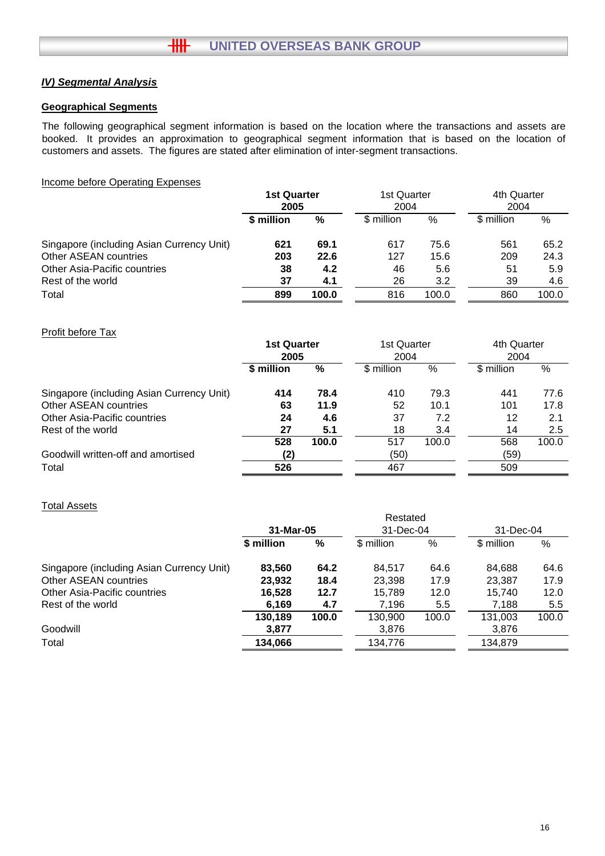# *IV) Segmental Analysis*

### **Geographical Segments**

The following geographical segment information is based on the location where the transactions and assets are booked. It provides an approximation to geographical segment information that is based on the location of customers and assets. The figures are stated after elimination of inter-segment transactions.

#### Income before Operating Expenses

|                                           | <b>1st Quarter</b><br>2005 |       | 1st Quarter<br>2004 |       | 4th Quarter<br>2004 |       |
|-------------------------------------------|----------------------------|-------|---------------------|-------|---------------------|-------|
|                                           | \$ million                 | %     | \$ million          | %     | \$ million          | %     |
| Singapore (including Asian Currency Unit) | 621                        | 69.1  | 617                 | 75.6  | 561                 | 65.2  |
| Other ASEAN countries                     | 203                        | 22.6  | 127                 | 15.6  | 209                 | 24.3  |
| Other Asia-Pacific countries              | 38                         | 4.2   | 46                  | 5.6   | 51                  | 5.9   |
| Rest of the world                         | 37                         | 4.1   | 26                  | 3.2   | 39                  | 4.6   |
| Total                                     | 899                        | 100.0 | 816                 | 100.0 | 860                 | 100.0 |

### Profit before Tax

|                                           | <b>1st Quarter</b><br>2005 |       | 1st Quarter<br>2004 |       | 4th Quarter<br>2004 |       |
|-------------------------------------------|----------------------------|-------|---------------------|-------|---------------------|-------|
|                                           | \$ million                 | %     | \$ million          | $\%$  | \$ million          | %     |
| Singapore (including Asian Currency Unit) | 414                        | 78.4  | 410                 | 79.3  | 441                 | 77.6  |
| <b>Other ASEAN countries</b>              | 63                         | 11.9  | 52                  | 10.1  | 101                 | 17.8  |
| Other Asia-Pacific countries              | 24                         | 4.6   | 37                  | 7.2   | 12                  | 2.1   |
| Rest of the world                         | 27                         | 5.1   | 18                  | 3.4   | 14                  | 2.5   |
|                                           | 528                        | 100.0 | 517                 | 100.0 | 568                 | 100.0 |
| Goodwill written-off and amortised        | (2)                        |       | (50)                |       | (59)                |       |
| Total                                     | 526                        |       | 467                 |       | 509                 |       |

#### Total Assets

|                                           |            |       | Restated   |       |            |       |
|-------------------------------------------|------------|-------|------------|-------|------------|-------|
|                                           | 31-Mar-05  |       | 31-Dec-04  |       | 31-Dec-04  |       |
|                                           | \$ million | %     | \$ million | %     | \$ million | %     |
| Singapore (including Asian Currency Unit) | 83,560     | 64.2  | 84.517     | 64.6  | 84,688     | 64.6  |
| Other ASEAN countries                     | 23,932     | 18.4  | 23,398     | 17.9  | 23,387     | 17.9  |
| Other Asia-Pacific countries              | 16,528     | 12.7  | 15,789     | 12.0  | 15.740     | 12.0  |
| Rest of the world                         | 6,169      | 4.7   | 7,196      | 5.5   | 7,188      | 5.5   |
|                                           | 130,189    | 100.0 | 130,900    | 100.0 | 131.003    | 100.0 |
| Goodwill                                  | 3,877      |       | 3,876      |       | 3,876      |       |
| Total                                     | 134,066    |       | 134,776    |       | 134,879    |       |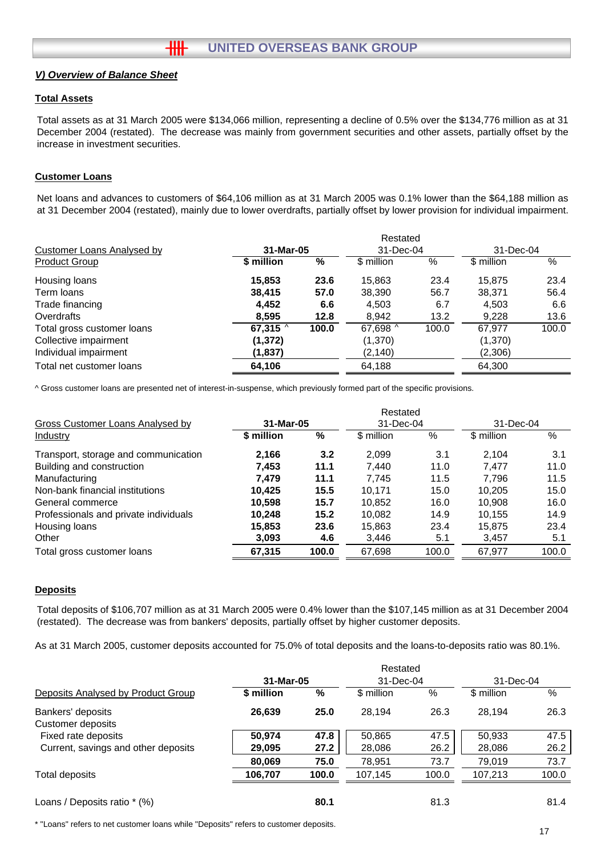#### **Total Assets**

Total assets as at 31 March 2005 were \$134,066 million, representing a decline of 0.5% over the \$134,776 million as at 31 December 2004 (restated). The decrease was mainly from government securities and other assets, partially offset by the increase in investment securities.

#### **Customer Loans**

Net loans and advances to customers of \$64,106 million as at 31 March 2005 was 0.1% lower than the \$64,188 million as at 31 December 2004 (restated), mainly due to lower overdrafts, partially offset by lower provision for individual impairment.

|                            |                |       | Restated   |       |            |       |
|----------------------------|----------------|-------|------------|-------|------------|-------|
| Customer Loans Analysed by | 31-Mar-05      |       | 31-Dec-04  |       | 31-Dec-04  |       |
| <b>Product Group</b>       | \$ million     | %     | \$ million | $\%$  | \$ million | %     |
| Housing loans              | 15,853         | 23.6  | 15,863     | 23.4  | 15.875     | 23.4  |
| Term loans                 | 38,415         | 57.0  | 38,390     | 56.7  | 38,371     | 56.4  |
| Trade financing            | 4.452          | 6.6   | 4,503      | 6.7   | 4,503      | 6.6   |
| Overdrafts                 | 8.595          | 12.8  | 8.942      | 13.2  | 9.228      | 13.6  |
| Total gross customer loans | 67,315 $\land$ | 100.0 | 67,698 ^   | 100.0 | 67,977     | 100.0 |
| Collective impairment      | (1, 372)       |       | (1,370)    |       | (1,370)    |       |
| Individual impairment      | (1,837)        |       | (2, 140)   |       | (2,306)    |       |
| Total net customer loans   | 64,106         |       | 64,188     |       | 64,300     |       |

^ Gross customer loans are presented net of interest-in-suspense, which previously formed part of the specific provisions.

|                                       |            |       | Restated   |           |            |           |  |
|---------------------------------------|------------|-------|------------|-----------|------------|-----------|--|
| Gross Customer Loans Analysed by      | 31-Mar-05  |       |            | 31-Dec-04 |            | 31-Dec-04 |  |
| <b>Industry</b>                       | \$ million | %     | \$ million | %         | \$ million | %         |  |
| Transport, storage and communication  | 2,166      | 3.2   | 2,099      | 3.1       | 2.104      | 3.1       |  |
| Building and construction             | 7,453      | 11.1  | 7.440      | 11.0      | 7.477      | 11.0      |  |
| Manufacturing                         | 7.479      | 11.1  | 7.745      | 11.5      | 7.796      | 11.5      |  |
| Non-bank financial institutions       | 10.425     | 15.5  | 10.171     | 15.0      | 10.205     | 15.0      |  |
| General commerce                      | 10.598     | 15.7  | 10,852     | 16.0      | 10.908     | 16.0      |  |
| Professionals and private individuals | 10,248     | 15.2  | 10,082     | 14.9      | 10.155     | 14.9      |  |
| Housing loans                         | 15,853     | 23.6  | 15,863     | 23.4      | 15,875     | 23.4      |  |
| Other                                 | 3,093      | 4.6   | 3,446      | 5.1       | 3,457      | 5.1       |  |
| Total gross customer loans            | 67,315     | 100.0 | 67,698     | 100.0     | 67,977     | 100.0     |  |
|                                       |            |       |            |           |            |           |  |

#### **Deposits**

Total deposits of \$106,707 million as at 31 March 2005 were 0.4% lower than the \$107,145 million as at 31 December 2004 (restated). The decrease was from bankers' deposits, partially offset by higher customer deposits.

As at 31 March 2005, customer deposits accounted for 75.0% of total deposits and the loans-to-deposits ratio was 80.1%.

|                                        |            |       | Restated   |       |            |       |
|----------------------------------------|------------|-------|------------|-------|------------|-------|
|                                        | 31-Mar-05  |       | 31-Dec-04  |       | 31-Dec-04  |       |
| Deposits Analysed by Product Group     | \$ million | %     | \$ million | %     | \$ million | %     |
| Bankers' deposits<br>Customer deposits | 26,639     | 25.0  | 28.194     | 26.3  | 28.194     | 26.3  |
| Fixed rate deposits                    | 50.974     | 47.8  | 50,865     | 47.5  | 50,933     | 47.5  |
| Current, savings and other deposits    | 29,095     | 27.2  | 28,086     | 26.2  | 28,086     | 26.2  |
|                                        | 80,069     | 75.0  | 78,951     | 73.7  | 79.019     | 73.7  |
| Total deposits                         | 106,707    | 100.0 | 107,145    | 100.0 | 107,213    | 100.0 |
| Loans / Deposits ratio * (%)           |            | 80.1  |            | 81.3  |            | 81.4  |

\* "Loans" refers to net customer loans while "Deposits" refers to customer deposits.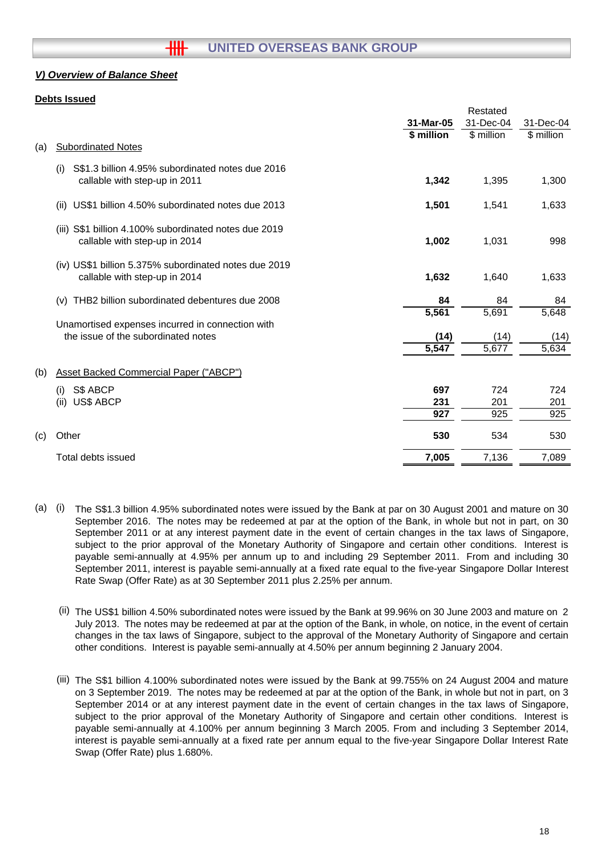### **Debts Issued**

|     |                                                                                           |                  | Restated   |                  |
|-----|-------------------------------------------------------------------------------------------|------------------|------------|------------------|
|     |                                                                                           | 31-Mar-05        | 31-Dec-04  | 31-Dec-04        |
|     |                                                                                           | \$ million       | \$ million | \$ million       |
| (a) | <b>Subordinated Notes</b>                                                                 |                  |            |                  |
|     | S\$1.3 billion 4.95% subordinated notes due 2016<br>(i)<br>callable with step-up in 2011  | 1,342            | 1,395      | 1,300            |
|     | US\$1 billion 4.50% subordinated notes due 2013<br>(ii)                                   | 1,501            | 1,541      | 1,633            |
|     | S\$1 billion 4.100% subordinated notes due 2019<br>(iii)<br>callable with step-up in 2014 | 1,002            | 1,031      | 998              |
|     | (iv) US\$1 billion 5.375% subordinated notes due 2019<br>callable with step-up in 2014    | 1,632            | 1,640      | 1,633            |
|     | THB2 billion subordinated debentures due 2008<br>(v)                                      | 84               | 84         | 84               |
|     |                                                                                           | 5,561            | 5,691      | 5,648            |
|     | Unamortised expenses incurred in connection with                                          |                  |            |                  |
|     | the issue of the subordinated notes                                                       | (14)             | (14)       | (14)             |
|     |                                                                                           | 5,547            | 5,677      | 5,634            |
| (b) | <b>Asset Backed Commercial Paper ("ABCP")</b>                                             |                  |            |                  |
|     | S\$ ABCP<br>(i)                                                                           | 697              | 724        | 724              |
|     | (ii)<br><b>US\$ ABCP</b>                                                                  | 231              | 201        | 201              |
|     |                                                                                           | $\overline{927}$ | 925        | $\overline{925}$ |
| (c) | Other                                                                                     | 530              | 534        | 530              |
|     | Total debts issued                                                                        | 7,005            | 7,136      | 7,089            |
|     |                                                                                           |                  |            |                  |

- (a) (i) The S\$1.3 billion 4.95% subordinated notes were issued by the Bank at par on 30 August 2001 and mature on 30 September 2016. The notes may be redeemed at par at the option of the Bank, in whole but not in part, on 30 September 2011 or at any interest payment date in the event of certain changes in the tax laws of Singapore, subject to the prior approval of the Monetary Authority of Singapore and certain other conditions. Interest is payable semi-annually at 4.95% per annum up to and including 29 September 2011. From and including 30 September 2011, interest is payable semi-annually at a fixed rate equal to the five-year Singapore Dollar Interest Rate Swap (Offer Rate) as at 30 September 2011 plus 2.25% per annum.
	- (ii) The US\$1 billion 4.50% subordinated notes were issued by the Bank at 99.96% on 30 June 2003 and mature on 2 July 2013. The notes may be redeemed at par at the option of the Bank, in whole, on notice, in the event of certain changes in the tax laws of Singapore, subject to the approval of the Monetary Authority of Singapore and certain other conditions. Interest is payable semi-annually at 4.50% per annum beginning 2 January 2004.
	- (iii) The S\$1 billion 4.100% subordinated notes were issued by the Bank at 99.755% on 24 August 2004 and mature on 3 September 2019. The notes may be redeemed at par at the option of the Bank, in whole but not in part, on 3 September 2014 or at any interest payment date in the event of certain changes in the tax laws of Singapore, subject to the prior approval of the Monetary Authority of Singapore and certain other conditions. Interest is payable semi-annually at 4.100% per annum beginning 3 March 2005. From and including 3 September 2014, interest is payable semi-annually at a fixed rate per annum equal to the five-year Singapore Dollar Interest Rate Swap (Offer Rate) plus 1.680%.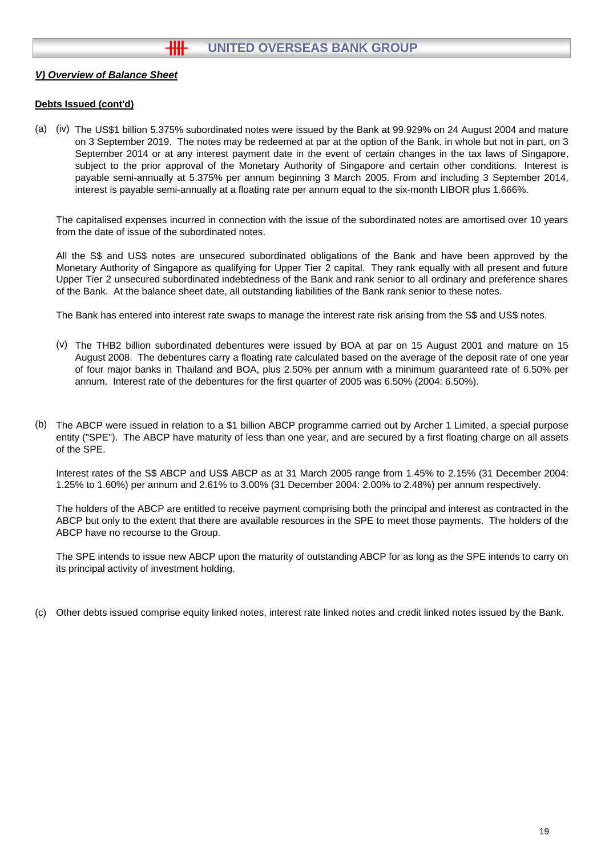#### **Debts Issued (cont'd)**

(a) (iv) The US\$1 billion 5.375% subordinated notes were issued by the Bank at 99.929% on 24 August 2004 and mature on 3 September 2019. The notes may be redeemed at par at the option of the Bank, in whole but not in part, on 3 September 2014 or at any interest payment date in the event of certain changes in the tax laws of Singapore, subject to the prior approval of the Monetary Authority of Singapore and certain other conditions. Interest is payable semi-annually at 5.375% per annum beginning 3 March 2005. From and including 3 September 2014, interest is payable semi-annually at a floating rate per annum equal to the six-month LIBOR plus 1.666%.

The capitalised expenses incurred in connection with the issue of the subordinated notes are amortised over 10 years from the date of issue of the subordinated notes.

All the S\$ and US\$ notes are unsecured subordinated obligations of the Bank and have been approved by the Monetary Authority of Singapore as qualifying for Upper Tier 2 capital. They rank equally with all present and future Upper Tier 2 unsecured subordinated indebtedness of the Bank and rank senior to all ordinary and preference shares of the Bank. At the balance sheet date, all outstanding liabilities of the Bank rank senior to these notes.

The Bank has entered into interest rate swaps to manage the interest rate risk arising from the S\$ and US\$ notes.

- (v) The THB2 billion subordinated debentures were issued by BOA at par on 15 August 2001 and mature on 15 August 2008. The debentures carry a floating rate calculated based on the average of the deposit rate of one year of four major banks in Thailand and BOA, plus 2.50% per annum with a minimum guaranteed rate of 6.50% per annum. Interest rate of the debentures for the first quarter of 2005 was 6.50% (2004: 6.50%).
- (b) The ABCP were issued in relation to a \$1 billion ABCP programme carried out by Archer 1 Limited, a special purpose entity ("SPE"). The ABCP have maturity of less than one year, and are secured by a first floating charge on all assets of the SPE.

Interest rates of the S\$ ABCP and US\$ ABCP as at 31 March 2005 range from 1.45% to 2.15% (31 December 2004: 1.25% to 1.60%) per annum and 2.61% to 3.00% (31 December 2004: 2.00% to 2.48%) per annum respectively.

The holders of the ABCP are entitled to receive payment comprising both the principal and interest as contracted in the ABCP but only to the extent that there are available resources in the SPE to meet those payments. The holders of the ABCP have no recourse to the Group.

The SPE intends to issue new ABCP upon the maturity of outstanding ABCP for as long as the SPE intends to carry on its principal activity of investment holding.

(c) Other debts issued comprise equity linked notes, interest rate linked notes and credit linked notes issued by the Bank.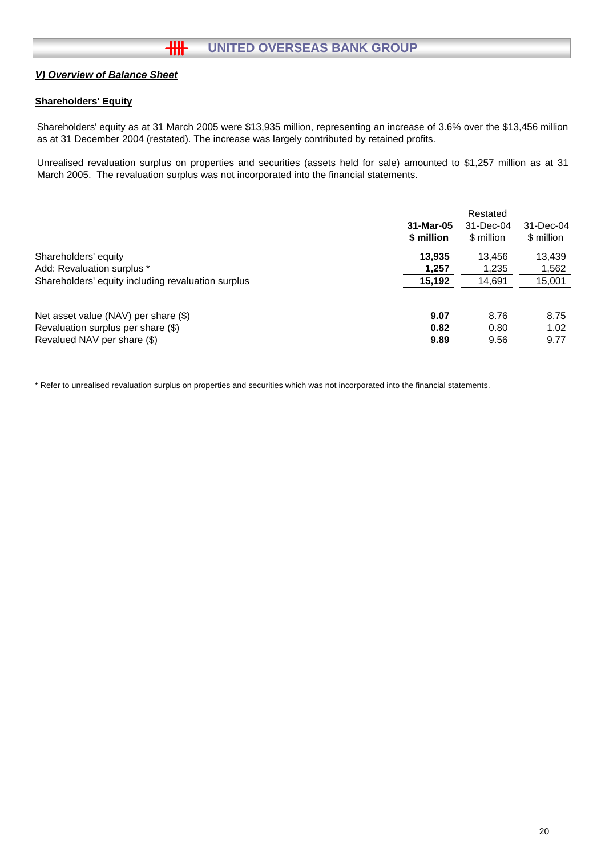## **Shareholders' Equity**

Shareholders' equity as at 31 March 2005 were \$13,935 million, representing an increase of 3.6% over the \$13,456 million as at 31 December 2004 (restated). The increase was largely contributed by retained profits.

Unrealised revaluation surplus on properties and securities (assets held for sale) amounted to \$1,257 million as at 31 March 2005. The revaluation surplus was not incorporated into the financial statements.

|                                                    | 31-Mar-05<br>\$ million | Restated<br>31-Dec-04<br>\$ million | 31-Dec-04<br>\$ million |
|----------------------------------------------------|-------------------------|-------------------------------------|-------------------------|
| Shareholders' equity                               | 13.935                  | 13.456                              | 13,439                  |
| Add: Revaluation surplus *                         | 1,257                   | 1,235                               | 1,562                   |
| Shareholders' equity including revaluation surplus | 15,192                  | 14,691                              | 15,001                  |
| Net asset value (NAV) per share (\$)               | 9.07                    | 8.76                                | 8.75                    |
| Revaluation surplus per share (\$)                 | 0.82                    | 0.80                                | 1.02                    |
| Revalued NAV per share (\$)                        | 9.89                    | 9.56                                | 9.77                    |

\* Refer to unrealised revaluation surplus on properties and securities which was not incorporated into the financial statements.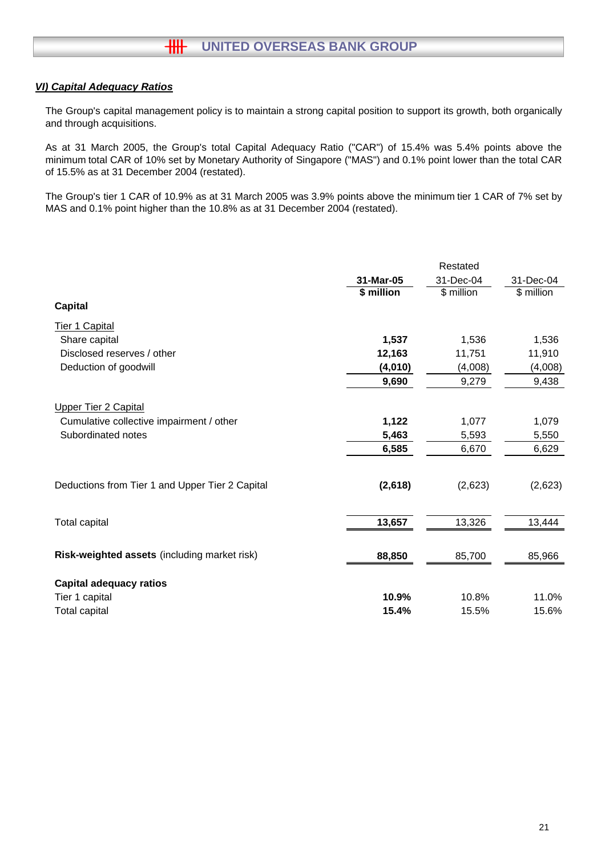## *VI) Capital Adequacy Ratios*

The Group's capital management policy is to maintain a strong capital position to support its growth, both organically and through acquisitions.

As at 31 March 2005, the Group's total Capital Adequacy Ratio ("CAR") of 15.4% was 5.4% points above the minimum total CAR of 10% set by Monetary Authority of Singapore ("MAS") and 0.1% point lower than the total CAR of 15.5% as at 31 December 2004 (restated).

The Group's tier 1 CAR of 10.9% as at 31 March 2005 was 3.9% points above the minimum tier 1 CAR of 7% set by MAS and 0.1% point higher than the 10.8% as at 31 December 2004 (restated).

|                                                 |            | Restated   |            |
|-------------------------------------------------|------------|------------|------------|
|                                                 | 31-Mar-05  | 31-Dec-04  | 31-Dec-04  |
|                                                 | \$ million | \$ million | \$ million |
| <b>Capital</b>                                  |            |            |            |
| Tier 1 Capital                                  |            |            |            |
| Share capital                                   | 1,537      | 1,536      | 1,536      |
| Disclosed reserves / other                      | 12,163     | 11,751     | 11,910     |
| Deduction of goodwill                           | (4,010)    | (4,008)    | (4,008)    |
|                                                 | 9,690      | 9,279      | 9,438      |
| <b>Upper Tier 2 Capital</b>                     |            |            |            |
| Cumulative collective impairment / other        | 1,122      | 1,077      | 1,079      |
| Subordinated notes                              | 5,463      | 5,593      | 5,550      |
|                                                 | 6,585      | 6,670      | 6,629      |
|                                                 |            |            |            |
| Deductions from Tier 1 and Upper Tier 2 Capital | (2,618)    | (2,623)    | (2,623)    |
|                                                 |            |            |            |
| <b>Total capital</b>                            | 13,657     | 13,326     | 13,444     |
| Risk-weighted assets (including market risk)    | 88,850     | 85,700     | 85,966     |
|                                                 |            |            |            |
| <b>Capital adequacy ratios</b>                  |            |            |            |
| Tier 1 capital                                  | 10.9%      | 10.8%      | 11.0%      |
| <b>Total capital</b>                            | 15.4%      | 15.5%      | 15.6%      |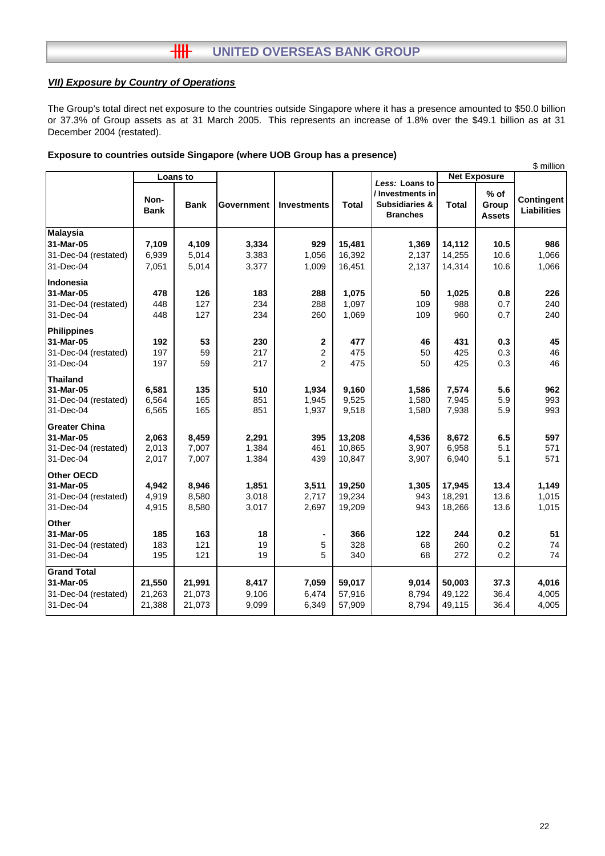## *VII) Exposure by Country of Operations*

The Group's total direct net exposure to the countries outside Singapore where it has a presence amounted to \$50.0 billion or 37.3% of Group assets as at 31 March 2005. This represents an increase of 1.8% over the \$49.1 billion as at 31 December 2004 (restated).

|                      |                     |             |            |                    |              |                                                                  |              |                                  | \$ million                       |
|----------------------|---------------------|-------------|------------|--------------------|--------------|------------------------------------------------------------------|--------------|----------------------------------|----------------------------------|
|                      |                     | Loans to    |            |                    |              | Less: Loans to                                                   |              | <b>Net Exposure</b>              |                                  |
|                      | Non-<br><b>Bank</b> | <b>Bank</b> | Government | <b>Investments</b> | <b>Total</b> | / Investments in<br><b>Subsidiaries &amp;</b><br><b>Branches</b> | <b>Total</b> | $%$ of<br>Group<br><b>Assets</b> | Contingent<br><b>Liabilities</b> |
| <b>Malaysia</b>      |                     |             |            |                    |              |                                                                  |              |                                  |                                  |
| 31-Mar-05            | 7,109               | 4,109       | 3,334      | 929                | 15,481       | 1,369                                                            | 14,112       | 10.5                             | 986                              |
| 31-Dec-04 (restated) | 6,939               | 5,014       | 3,383      | 1,056              | 16,392       | 2,137                                                            | 14,255       | 10.6                             | 1,066                            |
| 31-Dec-04            | 7,051               | 5,014       | 3,377      | 1,009              | 16,451       | 2,137                                                            | 14,314       | 10.6                             | 1,066                            |
| Indonesia            |                     |             |            |                    |              |                                                                  |              |                                  |                                  |
| 31-Mar-05            | 478                 | 126         | 183        | 288                | 1,075        | 50                                                               | 1,025        | 0.8                              | 226                              |
| 31-Dec-04 (restated) | 448                 | 127         | 234        | 288                | 1,097        | 109                                                              | 988          | 0.7                              | 240                              |
| 31-Dec-04            | 448                 | 127         | 234        | 260                | 1,069        | 109                                                              | 960          | 0.7                              | 240                              |
| <b>Philippines</b>   |                     |             |            |                    |              |                                                                  |              |                                  |                                  |
| 31-Mar-05            | 192                 | 53          | 230        | $\mathbf 2$        | 477          | 46                                                               | 431          | 0.3                              | 45                               |
| 31-Dec-04 (restated) | 197                 | 59          | 217        | $\overline{2}$     | 475          | 50                                                               | 425          | 0.3                              | 46                               |
| 31-Dec-04            | 197                 | 59          | 217        | $\overline{2}$     | 475          | 50                                                               | 425          | 0.3                              | 46                               |
| <b>Thailand</b>      |                     |             |            |                    |              |                                                                  |              |                                  |                                  |
| 31-Mar-05            | 6,581               | 135         | 510        | 1,934              | 9,160        | 1,586                                                            | 7,574        | 5.6                              | 962                              |
| 31-Dec-04 (restated) | 6,564               | 165         | 851        | 1,945              | 9,525        | 1,580                                                            | 7,945        | 5.9                              | 993                              |
| 31-Dec-04            | 6,565               | 165         | 851        | 1,937              | 9,518        | 1,580                                                            | 7,938        | 5.9                              | 993                              |
| <b>Greater China</b> |                     |             |            |                    |              |                                                                  |              |                                  |                                  |
| 31-Mar-05            | 2,063               | 8,459       | 2,291      | 395                | 13,208       | 4,536                                                            | 8,672        | 6.5                              | 597                              |
| 31-Dec-04 (restated) | 2,013               | 7,007       | 1,384      | 461                | 10,865       | 3,907                                                            | 6,958        | 5.1                              | 571                              |
| 31-Dec-04            | 2,017               | 7,007       | 1,384      | 439                | 10,847       | 3,907                                                            | 6,940        | 5.1                              | 571                              |
| <b>Other OECD</b>    |                     |             |            |                    |              |                                                                  |              |                                  |                                  |
| 31-Mar-05            | 4,942               | 8,946       | 1,851      | 3,511              | 19,250       | 1,305                                                            | 17,945       | 13.4                             | 1,149                            |
| 31-Dec-04 (restated) | 4,919               | 8,580       | 3,018      | 2,717              | 19,234       | 943                                                              | 18,291       | 13.6                             | 1,015                            |
| 31-Dec-04            | 4,915               | 8,580       | 3,017      | 2,697              | 19,209       | 943                                                              | 18,266       | 13.6                             | 1,015                            |
| <b>Other</b>         |                     |             |            |                    |              |                                                                  |              |                                  |                                  |
| 31-Mar-05            | 185                 | 163         | 18         |                    | 366          | 122                                                              | 244          | 0.2                              | 51                               |
| 31-Dec-04 (restated) | 183                 | 121         | 19         | 5                  | 328          | 68                                                               | 260          | 0.2                              | 74                               |
| 31-Dec-04            | 195                 | 121         | 19         | 5                  | 340          | 68                                                               | 272          | 0.2                              | 74                               |
| <b>Grand Total</b>   |                     |             |            |                    |              |                                                                  |              |                                  |                                  |
| 31-Mar-05            | 21,550              | 21,991      | 8,417      | 7,059              | 59,017       | 9,014                                                            | 50,003       | 37.3                             | 4,016                            |
| 31-Dec-04 (restated) | 21,263              | 21,073      | 9,106      | 6,474              | 57,916       | 8,794                                                            | 49,122       | 36.4                             | 4,005                            |
| 31-Dec-04            | 21,388              | 21,073      | 9,099      | 6,349              | 57,909       | 8,794                                                            | 49,115       | 36.4                             | 4,005                            |

#### **Exposure to countries outside Singapore (where UOB Group has a presence)**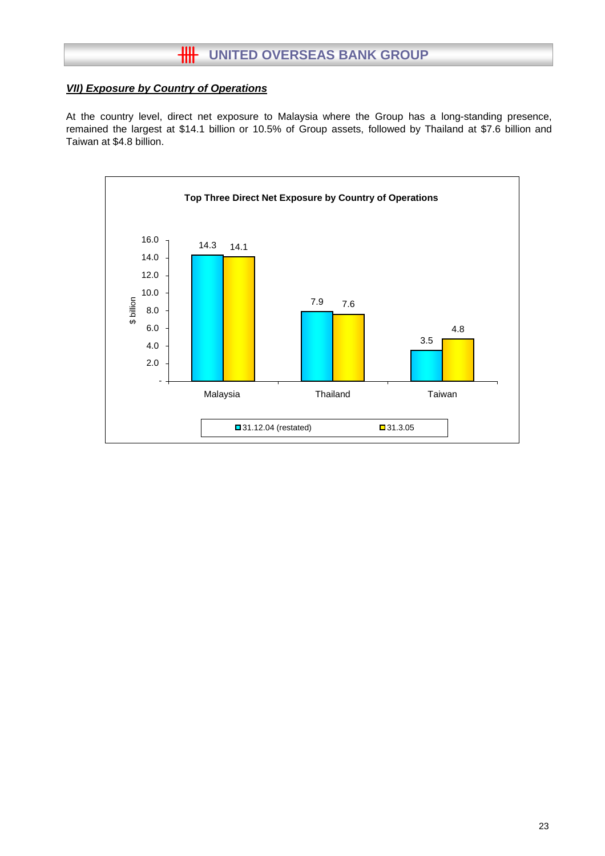## *VII) Exposure by Country of Operations*

At the country level, direct net exposure to Malaysia where the Group has a long-standing presence, remained the largest at \$14.1 billion or 10.5% of Group assets, followed by Thailand at \$7.6 billion and Taiwan at \$4.8 billion.

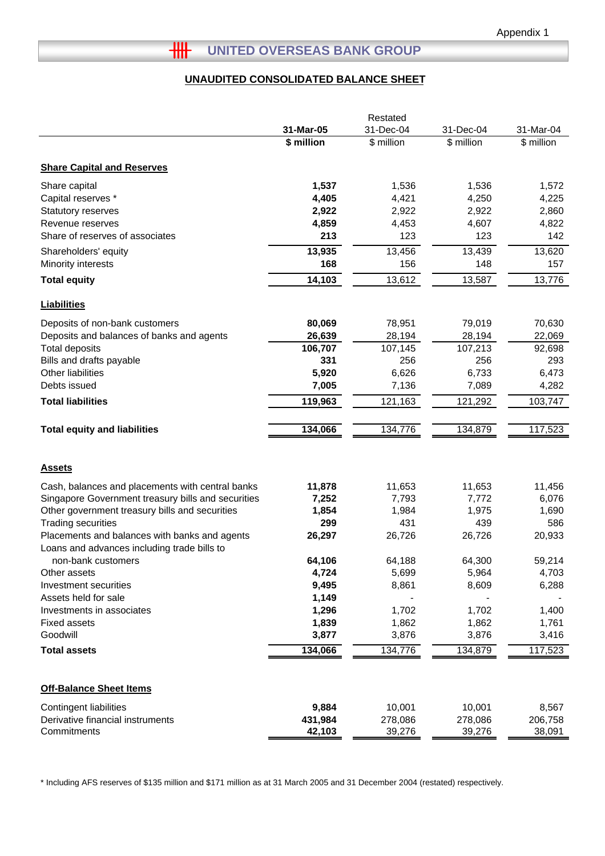## **UNAUDITED CONSOLIDATED BALANCE SHEET**

| 31-Mar-05<br>31-Dec-04<br>31-Dec-04<br>31-Mar-04<br>\$ million<br>\$ million<br>\$ million<br>\$ million<br><b>Share Capital and Reserves</b><br>1,537<br>1,536<br>1,536<br>1,572<br>Share capital<br>4,405<br>4,421<br>4,250<br>4,225<br>Capital reserves *<br>Statutory reserves<br>2,922<br>2,922<br>2,922<br>2,860<br>4,607<br>Revenue reserves<br>4,859<br>4,453<br>4,822<br>213<br>123<br>123<br>Share of reserves of associates<br>142<br>13,935<br>13,456<br>13,439<br>13,620<br>Shareholders' equity<br>168<br>156<br>148<br>Minority interests<br>157<br>14,103<br>13,612<br>13,776<br>13,587<br><b>Total equity</b><br><b>Liabilities</b><br>Deposits of non-bank customers<br>80,069<br>78,951<br>79,019<br>70,630<br>26,639<br>28,194<br>28,194<br>22,069<br>Deposits and balances of banks and agents<br><b>Total deposits</b><br>106,707<br>107,213<br>107,145<br>92,698<br>Bills and drafts payable<br>331<br>256<br>256<br>293<br>Other liabilities<br>5,920<br>6,626<br>6,733<br>6,473<br>7,005<br>7,089<br>Debts issued<br>7,136<br>4,282<br>119,963<br>121,163<br>121,292<br>103,747<br><b>Total liabilities</b><br>134,776<br>134,879<br>117,523<br><b>Total equity and liabilities</b><br>134,066<br><b>Assets</b><br>Cash, balances and placements with central banks<br>11,878<br>11,653<br>11,653<br>11,456<br>Singapore Government treasury bills and securities<br>7,252<br>7,793<br>7,772<br>6,076<br>1,975<br>Other government treasury bills and securities<br>1,854<br>1,984<br>1,690<br><b>Trading securities</b><br>431<br>439<br>299<br>586<br>20,933<br>Placements and balances with banks and agents<br>26,297<br>26,726<br>26,726<br>Loans and advances including trade bills to<br>64,300<br>non-bank customers<br>64,106<br>64,188<br>59,214<br>4,724<br>5,964<br>Other assets<br>5,699<br>4,703<br>9,495<br>8,609<br>Investment securities<br>8,861<br>6,288<br>1,149<br>Assets held for sale<br>Investments in associates<br>1,296<br>1,702<br>1,702<br>1,400<br>1,862<br><b>Fixed assets</b><br>1,839<br>1,862<br>1,761<br>Goodwill<br>3,877<br>3,876<br>3,876<br>3,416<br>134,066<br>134,776<br>134,879<br>117,523<br><b>Total assets</b><br><b>Off-Balance Sheet Items</b><br>9,884<br>10,001<br><b>Contingent liabilities</b><br>10,001<br>8,567<br>Derivative financial instruments<br>431,984<br>278,086<br>278,086<br>206,758 |             | Restated |        |        |        |  |  |
|-------------------------------------------------------------------------------------------------------------------------------------------------------------------------------------------------------------------------------------------------------------------------------------------------------------------------------------------------------------------------------------------------------------------------------------------------------------------------------------------------------------------------------------------------------------------------------------------------------------------------------------------------------------------------------------------------------------------------------------------------------------------------------------------------------------------------------------------------------------------------------------------------------------------------------------------------------------------------------------------------------------------------------------------------------------------------------------------------------------------------------------------------------------------------------------------------------------------------------------------------------------------------------------------------------------------------------------------------------------------------------------------------------------------------------------------------------------------------------------------------------------------------------------------------------------------------------------------------------------------------------------------------------------------------------------------------------------------------------------------------------------------------------------------------------------------------------------------------------------------------------------------------------------------------------------------------------------------------------------------------------------------------------------------------------------------------------------------------------------------------------------------------------------------------------------------------------------------------------------------------------------------------------------------------------------------------------------------------------------------------------|-------------|----------|--------|--------|--------|--|--|
|                                                                                                                                                                                                                                                                                                                                                                                                                                                                                                                                                                                                                                                                                                                                                                                                                                                                                                                                                                                                                                                                                                                                                                                                                                                                                                                                                                                                                                                                                                                                                                                                                                                                                                                                                                                                                                                                                                                                                                                                                                                                                                                                                                                                                                                                                                                                                                               |             |          |        |        |        |  |  |
|                                                                                                                                                                                                                                                                                                                                                                                                                                                                                                                                                                                                                                                                                                                                                                                                                                                                                                                                                                                                                                                                                                                                                                                                                                                                                                                                                                                                                                                                                                                                                                                                                                                                                                                                                                                                                                                                                                                                                                                                                                                                                                                                                                                                                                                                                                                                                                               |             |          |        |        |        |  |  |
|                                                                                                                                                                                                                                                                                                                                                                                                                                                                                                                                                                                                                                                                                                                                                                                                                                                                                                                                                                                                                                                                                                                                                                                                                                                                                                                                                                                                                                                                                                                                                                                                                                                                                                                                                                                                                                                                                                                                                                                                                                                                                                                                                                                                                                                                                                                                                                               |             |          |        |        |        |  |  |
|                                                                                                                                                                                                                                                                                                                                                                                                                                                                                                                                                                                                                                                                                                                                                                                                                                                                                                                                                                                                                                                                                                                                                                                                                                                                                                                                                                                                                                                                                                                                                                                                                                                                                                                                                                                                                                                                                                                                                                                                                                                                                                                                                                                                                                                                                                                                                                               |             |          |        |        |        |  |  |
|                                                                                                                                                                                                                                                                                                                                                                                                                                                                                                                                                                                                                                                                                                                                                                                                                                                                                                                                                                                                                                                                                                                                                                                                                                                                                                                                                                                                                                                                                                                                                                                                                                                                                                                                                                                                                                                                                                                                                                                                                                                                                                                                                                                                                                                                                                                                                                               |             |          |        |        |        |  |  |
|                                                                                                                                                                                                                                                                                                                                                                                                                                                                                                                                                                                                                                                                                                                                                                                                                                                                                                                                                                                                                                                                                                                                                                                                                                                                                                                                                                                                                                                                                                                                                                                                                                                                                                                                                                                                                                                                                                                                                                                                                                                                                                                                                                                                                                                                                                                                                                               |             |          |        |        |        |  |  |
|                                                                                                                                                                                                                                                                                                                                                                                                                                                                                                                                                                                                                                                                                                                                                                                                                                                                                                                                                                                                                                                                                                                                                                                                                                                                                                                                                                                                                                                                                                                                                                                                                                                                                                                                                                                                                                                                                                                                                                                                                                                                                                                                                                                                                                                                                                                                                                               |             |          |        |        |        |  |  |
|                                                                                                                                                                                                                                                                                                                                                                                                                                                                                                                                                                                                                                                                                                                                                                                                                                                                                                                                                                                                                                                                                                                                                                                                                                                                                                                                                                                                                                                                                                                                                                                                                                                                                                                                                                                                                                                                                                                                                                                                                                                                                                                                                                                                                                                                                                                                                                               |             |          |        |        |        |  |  |
|                                                                                                                                                                                                                                                                                                                                                                                                                                                                                                                                                                                                                                                                                                                                                                                                                                                                                                                                                                                                                                                                                                                                                                                                                                                                                                                                                                                                                                                                                                                                                                                                                                                                                                                                                                                                                                                                                                                                                                                                                                                                                                                                                                                                                                                                                                                                                                               |             |          |        |        |        |  |  |
|                                                                                                                                                                                                                                                                                                                                                                                                                                                                                                                                                                                                                                                                                                                                                                                                                                                                                                                                                                                                                                                                                                                                                                                                                                                                                                                                                                                                                                                                                                                                                                                                                                                                                                                                                                                                                                                                                                                                                                                                                                                                                                                                                                                                                                                                                                                                                                               |             |          |        |        |        |  |  |
|                                                                                                                                                                                                                                                                                                                                                                                                                                                                                                                                                                                                                                                                                                                                                                                                                                                                                                                                                                                                                                                                                                                                                                                                                                                                                                                                                                                                                                                                                                                                                                                                                                                                                                                                                                                                                                                                                                                                                                                                                                                                                                                                                                                                                                                                                                                                                                               |             |          |        |        |        |  |  |
|                                                                                                                                                                                                                                                                                                                                                                                                                                                                                                                                                                                                                                                                                                                                                                                                                                                                                                                                                                                                                                                                                                                                                                                                                                                                                                                                                                                                                                                                                                                                                                                                                                                                                                                                                                                                                                                                                                                                                                                                                                                                                                                                                                                                                                                                                                                                                                               |             |          |        |        |        |  |  |
|                                                                                                                                                                                                                                                                                                                                                                                                                                                                                                                                                                                                                                                                                                                                                                                                                                                                                                                                                                                                                                                                                                                                                                                                                                                                                                                                                                                                                                                                                                                                                                                                                                                                                                                                                                                                                                                                                                                                                                                                                                                                                                                                                                                                                                                                                                                                                                               |             |          |        |        |        |  |  |
|                                                                                                                                                                                                                                                                                                                                                                                                                                                                                                                                                                                                                                                                                                                                                                                                                                                                                                                                                                                                                                                                                                                                                                                                                                                                                                                                                                                                                                                                                                                                                                                                                                                                                                                                                                                                                                                                                                                                                                                                                                                                                                                                                                                                                                                                                                                                                                               |             |          |        |        |        |  |  |
|                                                                                                                                                                                                                                                                                                                                                                                                                                                                                                                                                                                                                                                                                                                                                                                                                                                                                                                                                                                                                                                                                                                                                                                                                                                                                                                                                                                                                                                                                                                                                                                                                                                                                                                                                                                                                                                                                                                                                                                                                                                                                                                                                                                                                                                                                                                                                                               |             |          |        |        |        |  |  |
|                                                                                                                                                                                                                                                                                                                                                                                                                                                                                                                                                                                                                                                                                                                                                                                                                                                                                                                                                                                                                                                                                                                                                                                                                                                                                                                                                                                                                                                                                                                                                                                                                                                                                                                                                                                                                                                                                                                                                                                                                                                                                                                                                                                                                                                                                                                                                                               |             |          |        |        |        |  |  |
|                                                                                                                                                                                                                                                                                                                                                                                                                                                                                                                                                                                                                                                                                                                                                                                                                                                                                                                                                                                                                                                                                                                                                                                                                                                                                                                                                                                                                                                                                                                                                                                                                                                                                                                                                                                                                                                                                                                                                                                                                                                                                                                                                                                                                                                                                                                                                                               |             |          |        |        |        |  |  |
|                                                                                                                                                                                                                                                                                                                                                                                                                                                                                                                                                                                                                                                                                                                                                                                                                                                                                                                                                                                                                                                                                                                                                                                                                                                                                                                                                                                                                                                                                                                                                                                                                                                                                                                                                                                                                                                                                                                                                                                                                                                                                                                                                                                                                                                                                                                                                                               |             |          |        |        |        |  |  |
|                                                                                                                                                                                                                                                                                                                                                                                                                                                                                                                                                                                                                                                                                                                                                                                                                                                                                                                                                                                                                                                                                                                                                                                                                                                                                                                                                                                                                                                                                                                                                                                                                                                                                                                                                                                                                                                                                                                                                                                                                                                                                                                                                                                                                                                                                                                                                                               |             |          |        |        |        |  |  |
|                                                                                                                                                                                                                                                                                                                                                                                                                                                                                                                                                                                                                                                                                                                                                                                                                                                                                                                                                                                                                                                                                                                                                                                                                                                                                                                                                                                                                                                                                                                                                                                                                                                                                                                                                                                                                                                                                                                                                                                                                                                                                                                                                                                                                                                                                                                                                                               |             |          |        |        |        |  |  |
|                                                                                                                                                                                                                                                                                                                                                                                                                                                                                                                                                                                                                                                                                                                                                                                                                                                                                                                                                                                                                                                                                                                                                                                                                                                                                                                                                                                                                                                                                                                                                                                                                                                                                                                                                                                                                                                                                                                                                                                                                                                                                                                                                                                                                                                                                                                                                                               |             |          |        |        |        |  |  |
|                                                                                                                                                                                                                                                                                                                                                                                                                                                                                                                                                                                                                                                                                                                                                                                                                                                                                                                                                                                                                                                                                                                                                                                                                                                                                                                                                                                                                                                                                                                                                                                                                                                                                                                                                                                                                                                                                                                                                                                                                                                                                                                                                                                                                                                                                                                                                                               |             |          |        |        |        |  |  |
|                                                                                                                                                                                                                                                                                                                                                                                                                                                                                                                                                                                                                                                                                                                                                                                                                                                                                                                                                                                                                                                                                                                                                                                                                                                                                                                                                                                                                                                                                                                                                                                                                                                                                                                                                                                                                                                                                                                                                                                                                                                                                                                                                                                                                                                                                                                                                                               |             |          |        |        |        |  |  |
|                                                                                                                                                                                                                                                                                                                                                                                                                                                                                                                                                                                                                                                                                                                                                                                                                                                                                                                                                                                                                                                                                                                                                                                                                                                                                                                                                                                                                                                                                                                                                                                                                                                                                                                                                                                                                                                                                                                                                                                                                                                                                                                                                                                                                                                                                                                                                                               |             |          |        |        |        |  |  |
|                                                                                                                                                                                                                                                                                                                                                                                                                                                                                                                                                                                                                                                                                                                                                                                                                                                                                                                                                                                                                                                                                                                                                                                                                                                                                                                                                                                                                                                                                                                                                                                                                                                                                                                                                                                                                                                                                                                                                                                                                                                                                                                                                                                                                                                                                                                                                                               |             |          |        |        |        |  |  |
|                                                                                                                                                                                                                                                                                                                                                                                                                                                                                                                                                                                                                                                                                                                                                                                                                                                                                                                                                                                                                                                                                                                                                                                                                                                                                                                                                                                                                                                                                                                                                                                                                                                                                                                                                                                                                                                                                                                                                                                                                                                                                                                                                                                                                                                                                                                                                                               |             |          |        |        |        |  |  |
|                                                                                                                                                                                                                                                                                                                                                                                                                                                                                                                                                                                                                                                                                                                                                                                                                                                                                                                                                                                                                                                                                                                                                                                                                                                                                                                                                                                                                                                                                                                                                                                                                                                                                                                                                                                                                                                                                                                                                                                                                                                                                                                                                                                                                                                                                                                                                                               |             |          |        |        |        |  |  |
|                                                                                                                                                                                                                                                                                                                                                                                                                                                                                                                                                                                                                                                                                                                                                                                                                                                                                                                                                                                                                                                                                                                                                                                                                                                                                                                                                                                                                                                                                                                                                                                                                                                                                                                                                                                                                                                                                                                                                                                                                                                                                                                                                                                                                                                                                                                                                                               |             |          |        |        |        |  |  |
|                                                                                                                                                                                                                                                                                                                                                                                                                                                                                                                                                                                                                                                                                                                                                                                                                                                                                                                                                                                                                                                                                                                                                                                                                                                                                                                                                                                                                                                                                                                                                                                                                                                                                                                                                                                                                                                                                                                                                                                                                                                                                                                                                                                                                                                                                                                                                                               |             |          |        |        |        |  |  |
|                                                                                                                                                                                                                                                                                                                                                                                                                                                                                                                                                                                                                                                                                                                                                                                                                                                                                                                                                                                                                                                                                                                                                                                                                                                                                                                                                                                                                                                                                                                                                                                                                                                                                                                                                                                                                                                                                                                                                                                                                                                                                                                                                                                                                                                                                                                                                                               |             |          |        |        |        |  |  |
|                                                                                                                                                                                                                                                                                                                                                                                                                                                                                                                                                                                                                                                                                                                                                                                                                                                                                                                                                                                                                                                                                                                                                                                                                                                                                                                                                                                                                                                                                                                                                                                                                                                                                                                                                                                                                                                                                                                                                                                                                                                                                                                                                                                                                                                                                                                                                                               |             |          |        |        |        |  |  |
|                                                                                                                                                                                                                                                                                                                                                                                                                                                                                                                                                                                                                                                                                                                                                                                                                                                                                                                                                                                                                                                                                                                                                                                                                                                                                                                                                                                                                                                                                                                                                                                                                                                                                                                                                                                                                                                                                                                                                                                                                                                                                                                                                                                                                                                                                                                                                                               |             |          |        |        |        |  |  |
|                                                                                                                                                                                                                                                                                                                                                                                                                                                                                                                                                                                                                                                                                                                                                                                                                                                                                                                                                                                                                                                                                                                                                                                                                                                                                                                                                                                                                                                                                                                                                                                                                                                                                                                                                                                                                                                                                                                                                                                                                                                                                                                                                                                                                                                                                                                                                                               |             |          |        |        |        |  |  |
|                                                                                                                                                                                                                                                                                                                                                                                                                                                                                                                                                                                                                                                                                                                                                                                                                                                                                                                                                                                                                                                                                                                                                                                                                                                                                                                                                                                                                                                                                                                                                                                                                                                                                                                                                                                                                                                                                                                                                                                                                                                                                                                                                                                                                                                                                                                                                                               |             |          |        |        |        |  |  |
|                                                                                                                                                                                                                                                                                                                                                                                                                                                                                                                                                                                                                                                                                                                                                                                                                                                                                                                                                                                                                                                                                                                                                                                                                                                                                                                                                                                                                                                                                                                                                                                                                                                                                                                                                                                                                                                                                                                                                                                                                                                                                                                                                                                                                                                                                                                                                                               |             |          |        |        |        |  |  |
|                                                                                                                                                                                                                                                                                                                                                                                                                                                                                                                                                                                                                                                                                                                                                                                                                                                                                                                                                                                                                                                                                                                                                                                                                                                                                                                                                                                                                                                                                                                                                                                                                                                                                                                                                                                                                                                                                                                                                                                                                                                                                                                                                                                                                                                                                                                                                                               |             |          |        |        |        |  |  |
|                                                                                                                                                                                                                                                                                                                                                                                                                                                                                                                                                                                                                                                                                                                                                                                                                                                                                                                                                                                                                                                                                                                                                                                                                                                                                                                                                                                                                                                                                                                                                                                                                                                                                                                                                                                                                                                                                                                                                                                                                                                                                                                                                                                                                                                                                                                                                                               |             |          |        |        |        |  |  |
|                                                                                                                                                                                                                                                                                                                                                                                                                                                                                                                                                                                                                                                                                                                                                                                                                                                                                                                                                                                                                                                                                                                                                                                                                                                                                                                                                                                                                                                                                                                                                                                                                                                                                                                                                                                                                                                                                                                                                                                                                                                                                                                                                                                                                                                                                                                                                                               | Commitments | 42,103   | 39,276 | 39,276 | 38,091 |  |  |

\* Including AFS reserves of \$135 million and \$171 million as at 31 March 2005 and 31 December 2004 (restated) respectively.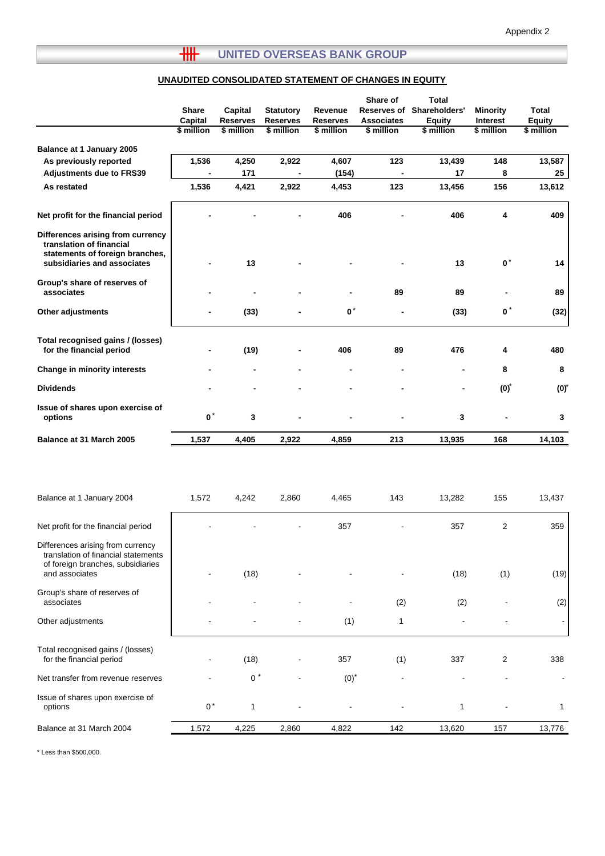## **UNAUDITED CONSOLIDATED STATEMENT OF CHANGES IN EQUITY**

|                                                                                                                                 | Share<br>Capital<br>\$ million | Capital<br><b>Reserves</b><br>\$ million | <b>Statutory</b><br><b>Reserves</b><br>\$ million | Revenue<br><b>Reserves</b><br>\$ million | Share of<br>Reserves of<br><b>Associates</b><br>\$ million | <b>Total</b><br>Shareholders'<br><b>Equity</b><br>\$ million | <b>Minority</b><br>Interest<br>\$ million | Total<br><b>Equity</b><br>\$ million |
|---------------------------------------------------------------------------------------------------------------------------------|--------------------------------|------------------------------------------|---------------------------------------------------|------------------------------------------|------------------------------------------------------------|--------------------------------------------------------------|-------------------------------------------|--------------------------------------|
| Balance at 1 January 2005                                                                                                       |                                |                                          |                                                   |                                          |                                                            |                                                              |                                           |                                      |
| As previously reported                                                                                                          | 1,536                          | 4,250                                    | 2,922                                             | 4,607                                    | 123                                                        | 13,439                                                       | 148                                       | 13,587                               |
| <b>Adjustments due to FRS39</b>                                                                                                 |                                | 171                                      | $\blacksquare$                                    | (154)                                    | $\blacksquare$                                             | 17                                                           | 8                                         | 25                                   |
| As restated                                                                                                                     | 1,536                          | 4,421                                    | 2,922                                             | 4,453                                    | 123                                                        | 13,456                                                       | 156                                       | 13,612                               |
| Net profit for the financial period                                                                                             |                                |                                          |                                                   | 406                                      |                                                            | 406                                                          | 4                                         | 409                                  |
| Differences arising from currency<br>translation of financial<br>statements of foreign branches,<br>subsidiaries and associates |                                | 13                                       |                                                   |                                          |                                                            | 13                                                           | $\mathbf{0}^*$                            | 14                                   |
| Group's share of reserves of<br>associates                                                                                      |                                |                                          |                                                   |                                          | 89                                                         | 89                                                           |                                           | 89                                   |
| Other adjustments                                                                                                               | -                              | (33)                                     |                                                   | $\mathbf{0}^*$                           | $\blacksquare$                                             | (33)                                                         | $\bullet^*$                               | (32)                                 |
| Total recognised gains / (losses)<br>for the financial period                                                                   |                                | (19)                                     |                                                   | 406                                      | 89                                                         | 476                                                          | 4                                         | 480                                  |
| Change in minority interests                                                                                                    |                                |                                          |                                                   |                                          | $\blacksquare$                                             |                                                              | 8                                         | 8                                    |
| <b>Dividends</b>                                                                                                                |                                |                                          |                                                   |                                          |                                                            |                                                              | $(0)*$                                    | $(0)*$                               |
| Issue of shares upon exercise of<br>options                                                                                     | $\mathbf{0}^*$                 | 3                                        |                                                   |                                          |                                                            | 3                                                            |                                           | 3                                    |
| Balance at 31 March 2005                                                                                                        | 1,537                          | 4,405                                    | 2,922                                             | 4,859                                    | 213                                                        | 13,935                                                       | 168                                       | 14,103                               |
|                                                                                                                                 |                                |                                          |                                                   |                                          |                                                            |                                                              |                                           |                                      |
| Balance at 1 January 2004                                                                                                       | 1,572                          | 4,242                                    | 2,860                                             | 4,465                                    | 143                                                        | 13,282                                                       | 155                                       | 13,437                               |
| Net profit for the financial period                                                                                             |                                |                                          |                                                   | 357                                      |                                                            | 357                                                          | 2                                         | 359                                  |
| Differences arising from currency<br>translation of financial statements<br>of foreign branches, subsidiaries<br>and associates |                                | (18)                                     |                                                   |                                          |                                                            | (18)                                                         | (1)                                       | (19)                                 |
| Group's share of reserves of<br>associates                                                                                      |                                |                                          |                                                   |                                          | (2)                                                        | (2)                                                          |                                           | (2)                                  |
| Other adjustments                                                                                                               |                                |                                          |                                                   | (1)                                      | 1                                                          |                                                              |                                           |                                      |
| Total recognised gains / (losses)<br>for the financial period                                                                   |                                | (18)                                     |                                                   | 357                                      | (1)                                                        | 337                                                          | 2                                         | 338                                  |
| Net transfer from revenue reserves                                                                                              |                                | $0 *$                                    |                                                   | $(0)*$                                   |                                                            |                                                              |                                           |                                      |
| Issue of shares upon exercise of<br>options                                                                                     | $0^*$                          | 1                                        |                                                   |                                          |                                                            | 1                                                            |                                           | 1                                    |
| Balance at 31 March 2004                                                                                                        | 1,572                          | 4,225                                    | 2,860                                             | 4,822                                    | 142                                                        | 13,620                                                       | 157                                       | 13,776                               |

\* Less than \$500,000.